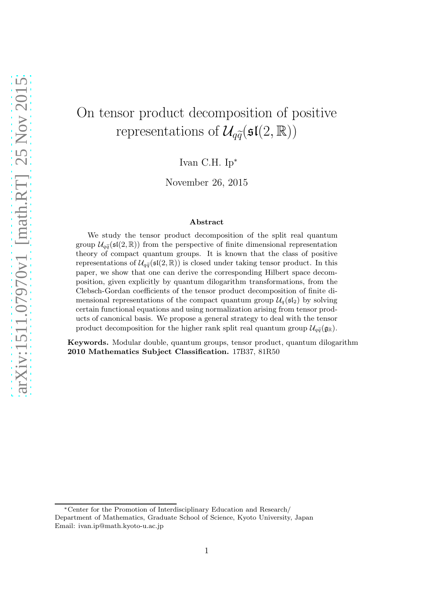# On tensor product decomposition of positive representations of  $\mathcal{U}_{q\widetilde{q}}(\mathfrak{sl}(2,\mathbb{R}))$

Ivan C.H. Ip<sup>∗</sup>

November 26, 2015

#### Abstract

We study the tensor product decomposition of the split real quantum group  $\mathcal{U}_{q\tilde{q}}(\mathfrak{sl}(2,\mathbb{R}))$  from the perspective of finite dimensional representation theory of compact quantum groups. It is known that the class of positive representations of  $\mathcal{U}_{q\tilde{q}}(\mathfrak{sl}(2,\mathbb{R}))$  is closed under taking tensor product. In this paper, we show that one can derive the corresponding Hilbert space decomposition, given explicitly by quantum dilogarithm transformations, from the Clebsch-Gordan coefficients of the tensor product decomposition of finite dimensional representations of the compact quantum group  $\mathcal{U}_q(\mathfrak{sl}_2)$  by solving certain functional equations and using normalization arising from tensor products of canonical basis. We propose a general strategy to deal with the tensor product decomposition for the higher rank split real quantum group  $\mathcal{U}_{q\tilde{q}}(\mathfrak{g}_{\mathbb{R}})$ .

Keywords. Modular double, quantum groups, tensor product, quantum dilogarithm 2010 Mathematics Subject Classification. 17B37, 81R50

<sup>∗</sup>Center for the Promotion of Interdisciplinary Education and Research/ Department of Mathematics, Graduate School of Science, Kyoto University, Japan Email: ivan.ip@math.kyoto-u.ac.jp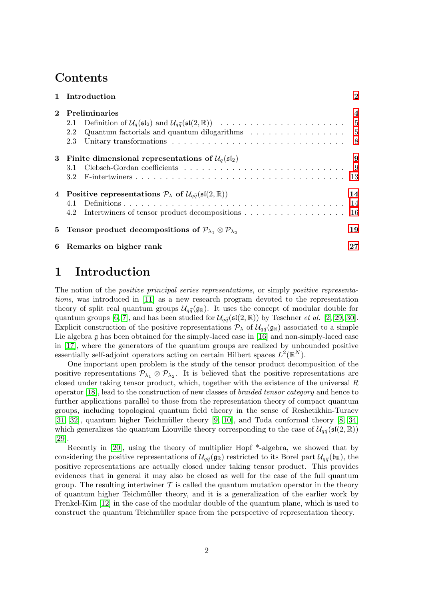### Contents

|              | 1 Introduction                                                                                                | $\mathbf{2}$   |
|--------------|---------------------------------------------------------------------------------------------------------------|----------------|
| $\mathbf{2}$ | Preliminaries                                                                                                 | $\overline{4}$ |
|              | 2.1                                                                                                           |                |
|              | Quantum factorials and quantum dilogarithms $\dots \dots \dots \dots \dots \dots$<br>2.2                      |                |
|              | 2.3                                                                                                           |                |
| 3            | Finite dimensional representations of $\mathcal{U}_q(\mathfrak{sl}_2)$                                        | 9              |
|              | Clebsch-Gordan coefficients $\ldots \ldots \ldots \ldots \ldots \ldots \ldots \ldots \ldots$<br>3.1           |                |
|              | $3.2^{\circ}$                                                                                                 |                |
|              | 4 Positive representations $P_{\lambda}$ of $\mathcal{U}_{\alpha\tilde{\alpha}}(\mathfrak{sl}(2,\mathbb{R}))$ | 14             |
|              |                                                                                                               |                |
|              | Intertwiners of tensor product decompositions 16<br>4.2                                                       |                |
|              | 5 Tensor product decompositions of $P_{\lambda_1} \otimes P_{\lambda_2}$                                      | 19             |
| 6            | Remarks on higher rank                                                                                        | 27             |

### <span id="page-1-0"></span>1 Introduction

The notion of the positive principal series representations, or simply positive representations, was introduced in [\[11\]](#page-28-0) as a new research program devoted to the representation theory of split real quantum groups  $\mathcal{U}_{q\tilde{q}}(\mathfrak{g}_{\mathbb{R}})$ . It uses the concept of modular double for quantum groups [\[6,](#page-28-1) [7\]](#page-28-2), and has been studied for  $\mathcal{U}_{q\bar{q}}(\mathfrak{sl}(2,\mathbb{R}))$  by Teschner *et al.* [\[2,](#page-28-3) [29,](#page-29-0) [30\]](#page-29-1). Explicit construction of the positive representations  $\mathcal{P}_{\lambda}$  of  $\mathcal{U}_{q\tilde{q}}(\mathfrak{g}_{\mathbb{R}})$  associated to a simple Lie algebra g has been obtained for the simply-laced case in [\[16\]](#page-29-2) and non-simply-laced case in [\[17\]](#page-29-3), where the generators of the quantum groups are realized by unbounded positive essentially self-adjoint operators acting on certain Hilbert spaces  $L^2(\mathbb{R}^N)$ .

One important open problem is the study of the tensor product decomposition of the positive representations  $\mathcal{P}_{\lambda_1} \otimes \mathcal{P}_{\lambda_2}$ . It is believed that the positive representations are closed under taking tensor product, which, together with the existence of the universal  $R$ operator [\[18\]](#page-29-4), lead to the construction of new classes of braided tensor category and hence to further applications parallel to those from the representation theory of compact quantum groups, including topological quantum field theory in the sense of Reshetikhin-Turaev  $[31, 32]$  $[31, 32]$ , quantum higher Teichmüller theory  $[9, 10]$  $[9, 10]$ , and Toda conformal theory  $[8, 34]$  $[8, 34]$ which generalizes the quantum Liouville theory corresponding to the case of  $\mathcal{U}_{q\tilde{q}}(\mathfrak{sl}(2,\mathbb{R}))$ [\[29\]](#page-29-0).

Recently in [\[20\]](#page-29-5), using the theory of multiplier Hopf \*-algebra, we showed that by considering the positive representations of  $\mathcal{U}_{q\tilde{q}}(\mathfrak{g}_{\mathbb{R}})$  restricted to its Borel part  $\mathcal{U}_{q\tilde{q}}(\mathfrak{b}_{\mathbb{R}})$ , the positive representations are actually closed under taking tensor product. This provides evidences that in general it may also be closed as well for the case of the full quantum group. The resulting intertwiner  $\mathcal T$  is called the quantum mutation operator in the theory of quantum higher Teichm¨uller theory, and it is a generalization of the earlier work by Frenkel-Kim [\[12\]](#page-29-6) in the case of the modular double of the quantum plane, which is used to construct the quantum Teichmüller space from the perspective of representation theory.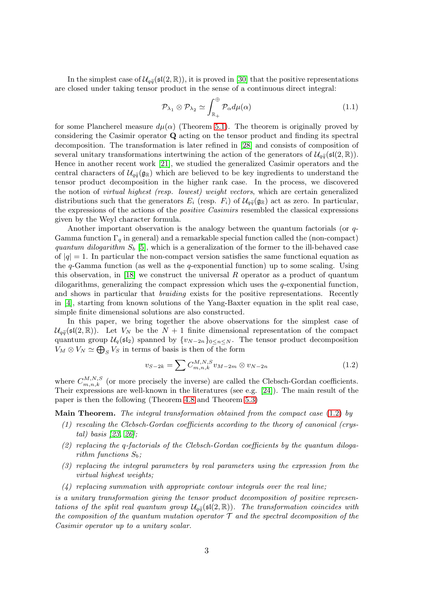In the simplest case of  $\mathcal{U}_{q\tilde{q}}(\mathfrak{sl}(2,\mathbb{R}))$ , it is proved in [\[30\]](#page-29-1) that the positive representations are closed under taking tensor product in the sense of a continuous direct integral:

$$
\mathcal{P}_{\lambda_1} \otimes \mathcal{P}_{\lambda_2} \simeq \int_{\mathbb{R}_+}^{\oplus} \mathcal{P}_{\alpha} d\mu(\alpha) \tag{1.1}
$$

for some Plancherel measure  $d\mu(\alpha)$  (Theorem [5.1\)](#page-19-0). The theorem is originally proved by considering the Casimir operator Q acting on the tensor product and finding its spectral decomposition. The transformation is later refined in [\[28\]](#page-29-7) and consists of composition of several unitary transformations intertwining the action of the generators of  $\mathcal{U}_{\alpha\tilde{\alpha}}(\mathfrak{sl}(2,\mathbb{R}))$ . Hence in another recent work [\[21\]](#page-29-8), we studied the generalized Casimir operators and the central characters of  $\mathcal{U}_{q\tilde{q}}(\mathfrak{g}_{\mathbb{R}})$  which are believed to be key ingredients to understand the tensor product decomposition in the higher rank case. In the process, we discovered the notion of virtual highest (resp. lowest) weight vectors, which are certain generalized distributions such that the generators  $E_i$  (resp.  $F_i$ ) of  $\mathcal{U}_{q\tilde{q}}(\mathfrak{g}_{\mathbb{R}})$  act as zero. In particular, the expressions of the actions of the positive Casimirs resembled the classical expressions given by the Weyl character formula.

Another important observation is the analogy between the quantum factorials (or q-Gamma function  $\Gamma_q$  in general) and a remarkable special function called the (non-compact) quantum dilogarithm  $S_b$  [\[5\]](#page-28-7), which is a generalization of the former to the ill-behaved case of  $|q| = 1$ . In particular the non-compact version satisfies the same functional equation as the  $q$ -Gamma function (as well as the  $q$ -exponential function) up to some scaling. Using this observation, in [\[18\]](#page-29-4) we construct the universal  $R$  operator as a product of quantum dilogarithms, generalizing the compact expression which uses the  $q$ -exponential function, and shows in particular that *braiding* exists for the positive representations. Recently in [\[4\]](#page-28-8), starting from known solutions of the Yang-Baxter equation in the split real case, simple finite dimensional solutions are also constructed.

In this paper, we bring together the above observations for the simplest case of  $\mathcal{U}_{q\bar{q}}(\mathfrak{sl}(2,\mathbb{R}))$ . Let  $V_N$  be the  $N+1$  finite dimensional representation of the compact quantum group  $\mathcal{U}_q(\mathfrak{sl}_2)$  spanned by  $\{v_{N-2n}\}_{0\leq n\leq N}$ . The tensor product decomposition  $V_M \otimes V_N \simeq \bigoplus_S V_S$  in terms of basis is then of the form

<span id="page-2-0"></span>
$$
v_{S-2k} = \sum C_{m,n,k}^{M,N,S} v_{M-2m} \otimes v_{N-2n}
$$
 (1.2)

where  $C_{m,n,k}^{M,N,S}$  (or more precisely the inverse) are called the Clebsch-Gordan coefficients. Their expressions are well-known in the literatures (see e.g. [\[24\]](#page-29-9)). The main result of the paper is then the following (Theorem [4.8](#page-17-0) and Theorem [5.3\)](#page-21-0)

**Main Theorem.** The integral transformation obtained from the compact case  $(1.2)$  by

- (1) rescaling the Clebsch-Gordan coefficients according to the theory of canonical (crystal) basis [\[23,](#page-29-10) [26\]](#page-29-11);
- (2) replacing the q-factorials of the Clebsch-Gordan coefficients by the quantum dilogarithm functions  $S_b$ ;
- (3) replacing the integral parameters by real parameters using the expression from the virtual highest weights;
- (4) replacing summation with appropriate contour integrals over the real line;

is a unitary transformation giving the tensor product decomposition of positive representations of the split real quantum group  $\mathcal{U}_{q\tilde{q}}(\mathfrak{sl}(2,\mathbb{R}))$ . The transformation coincides with the composition of the quantum mutation operator  $\mathcal T$  and the spectral decomposition of the Casimir operator up to a unitary scalar.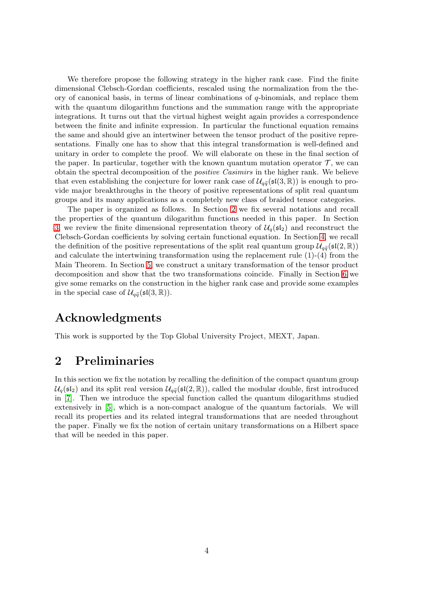We therefore propose the following strategy in the higher rank case. Find the finite dimensional Clebsch-Gordan coefficients, rescaled using the normalization from the theory of canonical basis, in terms of linear combinations of  $q$ -binomials, and replace them with the quantum dilogarithm functions and the summation range with the appropriate integrations. It turns out that the virtual highest weight again provides a correspondence between the finite and infinite expression. In particular the functional equation remains the same and should give an intertwiner between the tensor product of the positive representations. Finally one has to show that this integral transformation is well-defined and unitary in order to complete the proof. We will elaborate on these in the final section of the paper. In particular, together with the known quantum mutation operator  $\mathcal{T}$ , we can obtain the spectral decomposition of the *positive Casimirs* in the higher rank. We believe that even establishing the conjecture for lower rank case of  $\mathcal{U}_{q\bar{q}}(\mathfrak{sl}(3,\mathbb{R}))$  is enough to provide major breakthroughs in the theory of positive representations of split real quantum groups and its many applications as a completely new class of braided tensor categories.

The paper is organized as follows. In Section [2](#page-3-0) we fix several notations and recall the properties of the quantum dilogarithm functions needed in this paper. In Section [3,](#page-8-0) we review the finite dimensional representation theory of  $\mathcal{U}_a(\mathfrak{sl}_2)$  and reconstruct the Clebsch-Gordan coefficients by solving certain functional equation. In Section [4,](#page-13-0) we recall the definition of the positive representations of the split real quantum group  $\mathcal{U}_{q\bar{q}}(\mathfrak{sl}(2,\mathbb{R}))$ and calculate the intertwining transformation using the replacement rule (1)-(4) from the Main Theorem. In Section [5,](#page-18-0) we construct a unitary transformation of the tensor product decomposition and show that the two transformations coincide. Finally in Section [6](#page-26-0) we give some remarks on the construction in the higher rank case and provide some examples in the special case of  $\mathcal{U}_{q\tilde{q}}(\mathfrak{sl}(3,\mathbb{R}))$ .

### Acknowledgments

This work is supported by the Top Global University Project, MEXT, Japan.

### <span id="page-3-0"></span>2 Preliminaries

In this section we fix the notation by recalling the definition of the compact quantum group  $\mathcal{U}_q(\mathfrak{sl}_2)$  and its split real version  $\mathcal{U}_{q\tilde{q}}(\mathfrak{sl}(2,\mathbb{R}))$ , called the modular double, first introduced in [\[7\]](#page-28-2). Then we introduce the special function called the quantum dilogarithms studied extensively in [\[5\]](#page-28-7), which is a non-compact analogue of the quantum factorials. We will recall its properties and its related integral transformations that are needed throughout the paper. Finally we fix the notion of certain unitary transformations on a Hilbert space that will be needed in this paper.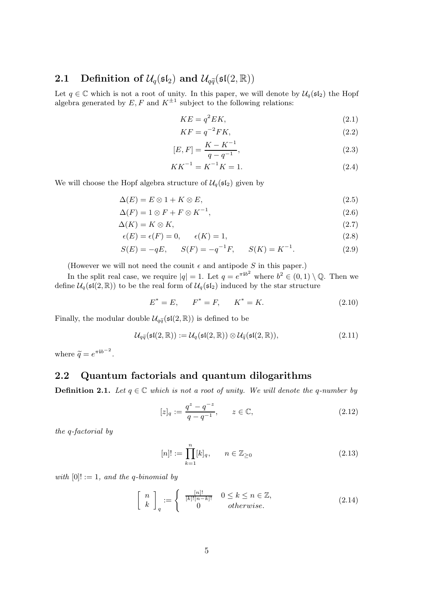#### <span id="page-4-0"></span>2.1 Definition of  $\mathcal{U}_q(\mathfrak{sl}_2)$  and  $\mathcal{U}_{q\tilde{q}}(\mathfrak{sl}(2,\mathbb{R}))$

Let  $q \in \mathbb{C}$  which is not a root of unity. In this paper, we will denote by  $\mathcal{U}_q(\mathfrak{sl}_2)$  the Hopf algebra generated by  $E, F$  and  $K^{\pm 1}$  subject to the following relations:

$$
KE = q^2 EK,\t\t(2.1)
$$

$$
KF = q^{-2}FK,\t\t(2.2)
$$

$$
[E, F] = \frac{K - K^{-1}}{q - q^{-1}},
$$
\n(2.3)

<span id="page-4-3"></span><span id="page-4-2"></span>
$$
KK^{-1} = K^{-1}K = 1.
$$
\n(2.4)

We will choose the Hopf algebra structure of  $\mathcal{U}_q(\mathfrak{sl}_2)$  given by

$$
\Delta(E) = E \otimes 1 + K \otimes E,\tag{2.5}
$$

$$
\Delta(F) = 1 \otimes F + F \otimes K^{-1},\tag{2.6}
$$

$$
\Delta(K) = K \otimes K,\tag{2.7}
$$

$$
\epsilon(E) = \epsilon(F) = 0, \qquad \epsilon(K) = 1,\tag{2.8}
$$

$$
S(E) = -qE, \qquad S(F) = -q^{-1}F, \qquad S(K) = K^{-1}.
$$
 (2.9)

(However we will not need the counit  $\epsilon$  and antipode S in this paper.)

In the split real case, we require  $|q|=1$ . Let  $q=e^{\pi i b^2}$  where  $b^2 \in (0,1) \setminus \mathbb{Q}$ . Then we define  $\mathcal{U}_q(\mathfrak{sl}(2,\mathbb{R}))$  to be the real form of  $\mathcal{U}_q(\mathfrak{sl}_2)$  induced by the star structure

<span id="page-4-4"></span>
$$
E^* = E, \qquad F^* = F, \qquad K^* = K. \tag{2.10}
$$

Finally, the modular double  $\mathcal{U}_{q\tilde{q}}(\mathfrak{sl}(2,\mathbb{R}))$  is defined to be

$$
\mathcal{U}_{q\tilde{q}}(\mathfrak{sl}(2,\mathbb{R})) := \mathcal{U}_{q}(\mathfrak{sl}(2,\mathbb{R})) \otimes \mathcal{U}_{\tilde{q}}(\mathfrak{sl}(2,\mathbb{R})),\tag{2.11}
$$

where  $\widetilde{q} = e^{\pi i b^{-2}}$ .

#### <span id="page-4-1"></span>2.2 Quantum factorials and quantum dilogarithms

**Definition 2.1.** Let  $q \in \mathbb{C}$  which is not a root of unity. We will denote the q-number by

$$
[z]_q := \frac{q^z - q^{-z}}{q - q^{-1}}, \qquad z \in \mathbb{C}, \tag{2.12}
$$

the q-factorial by

$$
[n]! := \prod_{k=1}^{n} [k]_q, \qquad n \in \mathbb{Z}_{\geq 0}
$$
 (2.13)

with  $[0]! := 1$ , and the q-binomial by

$$
\begin{bmatrix} n \\ k \end{bmatrix}_q := \begin{cases} \frac{[n]!}{[k]![n-k]!} & 0 \le k \le n \in \mathbb{Z}, \\ 0 & otherwise. \end{cases}
$$
 (2.14)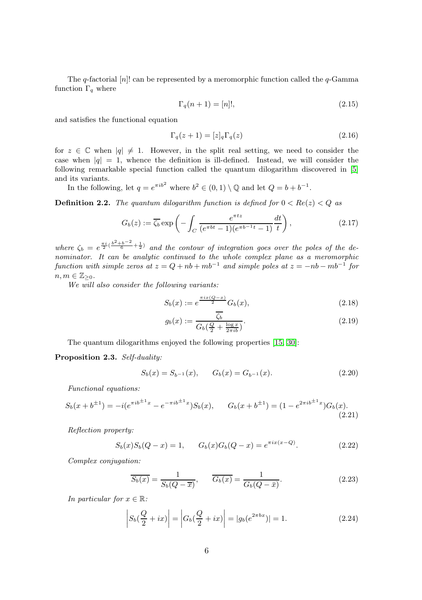The q-factorial  $[n]$ ! can be represented by a meromorphic function called the  $q$ -Gamma function  $\Gamma_q$  where

$$
\Gamma_q(n+1) = [n]!,\tag{2.15}
$$

and satisfies the functional equation

$$
\Gamma_q(z+1) = [z]_q \Gamma_q(z) \tag{2.16}
$$

for  $z \in \mathbb{C}$  when  $|q| \neq 1$ . However, in the split real setting, we need to consider the case when  $|q| = 1$ , whence the definition is ill-defined. Instead, we will consider the following remarkable special function called the quantum dilogarithm discovered in [\[5\]](#page-28-7) and its variants.

In the following, let  $q = e^{\pi i b^2}$  where  $b^2 \in (0, 1) \setminus \mathbb{Q}$  and let  $Q = b + b^{-1}$ .

**Definition 2.2.** The quantum dilogarithm function is defined for  $0 < Re(z) < Q$  as

$$
G_b(z) := \overline{\zeta_b} \exp\left(-\int_C \frac{e^{\pi t z}}{(e^{\pi bt} - 1)(e^{\pi b^{-1}t} - 1)} \frac{dt}{t}\right),\tag{2.17}
$$

where  $\zeta_b = e^{\frac{\pi i}{2}(\frac{b^2+b^{-2}}{6}+\frac{1}{2})}$  and the contour of integration goes over the poles of the denominator. It can be analytic continued to the whole complex plane as a meromorphic function with simple zeros at  $z = Q + nb + mb^{-1}$  and simple poles at  $z = -nb - mb^{-1}$  for  $n, m \in \mathbb{Z}_{\geq 0}$ .

We will also consider the following variants:

$$
S_b(x) := e^{\frac{\pi ix(Q-x)}{2}} G_b(x),
$$
\n(2.18)

<span id="page-5-0"></span>
$$
g_b(x) := \frac{\zeta_b}{G_b(\frac{Q}{2} + \frac{\log x}{2\pi ib})}.
$$
\n(2.19)

The quantum dilogarithms enjoyed the following properties [\[15,](#page-29-12) [30\]](#page-29-1):

Proposition 2.3. Self-duality:

$$
S_b(x) = S_{b-1}(x), \qquad G_b(x) = G_{b-1}(x). \tag{2.20}
$$

Functional equations:

$$
S_b(x+b^{\pm 1}) = -i(e^{\pi i b^{\pm 1}x} - e^{-\pi i b^{\pm 1}x})S_b(x), \qquad G_b(x+b^{\pm 1}) = (1 - e^{2\pi i b^{\pm 1}x})G_b(x). \tag{2.21}
$$

Reflection property:

$$
S_b(x)S_b(Q-x) = 1, \qquad G_b(x)G_b(Q-x) = e^{\pi ix(x-Q)}.
$$
 (2.22)

Complex conjugation:

<span id="page-5-2"></span><span id="page-5-1"></span>
$$
\overline{S_b(x)} = \frac{1}{S_b(Q - \overline{x})}, \qquad \overline{G_b(x)} = \frac{1}{G_b(Q - \overline{x})}.
$$
\n(2.23)

In particular for  $x \in \mathbb{R}$ :

$$
\left| S_b(\frac{Q}{2} + ix) \right| = \left| G_b(\frac{Q}{2} + ix) \right| = |g_b(e^{2\pi bx})| = 1.
$$
 (2.24)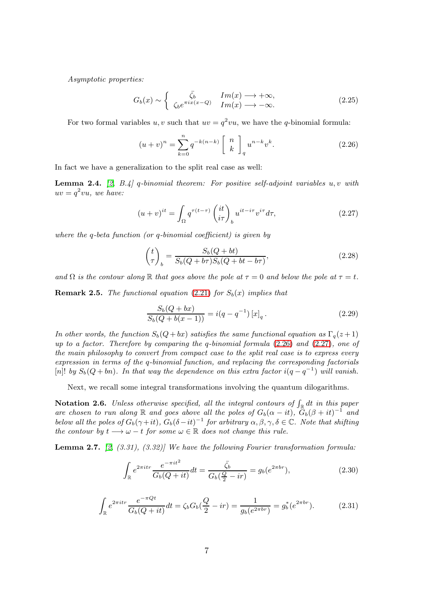Asymptotic properties:

$$
G_b(x) \sim \begin{cases} \bar{\zeta}_b & Im(x) \longrightarrow +\infty, \\ \zeta_b e^{\pi ix(x-Q)} & Im(x) \longrightarrow -\infty. \end{cases}
$$
 (2.25)

For two formal variables u, v such that  $uv = q^2vu$ , we have the q-binomial formula:

<span id="page-6-5"></span><span id="page-6-0"></span>
$$
(u+v)^n = \sum_{k=0}^n q^{-k(n-k)} \begin{bmatrix} n \\ k \end{bmatrix}_q u^{n-k} v^k.
$$
 (2.26)

In fact we have a generalization to the split real case as well:

**Lemma 2.4.** [\[2,](#page-28-3) B.4] q-binomial theorem: For positive self-adjoint variables  $u, v$  with  $uv = q^2vu$ , we have:

$$
(u+v)^{it} = \int_{\Omega} q^{\tau(t-\tau)} \begin{pmatrix} it \\ i\tau \end{pmatrix}_b u^{it-i\tau} v^{i\tau} d\tau,
$$
\n(2.27)

where the q-beta function (or q-binomial coefficient) is given by

<span id="page-6-1"></span>
$$
\begin{pmatrix} t \ \tau \end{pmatrix}_b = \frac{S_b(Q+bt)}{S_b(Q+b\tau)S_b(Q+bt-b\tau)},\tag{2.28}
$$

and  $\Omega$  is the contour along R that goes above the pole at  $\tau = 0$  and below the pole at  $\tau = t$ .

<span id="page-6-3"></span>**Remark 2.5.** The functional equation [\(2.21\)](#page-5-0) for  $S_b(x)$  implies that

$$
\frac{S_b(Q + bx)}{S_b(Q + b(x - 1))} = i(q - q^{-1}) [x]_q.
$$
\n(2.29)

In other words, the function  $S_b(Q + bx)$  satisfies the same functional equation as  $\Gamma_q(z + 1)$ up to a factor. Therefore by comparing the q-binomial formula  $(2.26)$  and  $(2.27)$ , one of the main philosophy to convert from compact case to the split real case is to express every expression in terms of the q-binomial function, and replacing the corresponding factorials [n]! by  $S_b(Q + bn)$ . In that way the dependence on this extra factor  $i(q - q^{-1})$  will vanish.

Next, we recall some integral transformations involving the quantum dilogarithms.

<span id="page-6-4"></span>**Notation 2.6.** Unless otherwise specified, all the integral contours of  $\int_{\mathbb{R}} dt$  in this paper are chosen to run along R and goes above all the poles of  $G_b(\alpha - it)$ ,  $G_b(\beta + it)^{-1}$  and below all the poles of  $G_b(\gamma + it)$ ,  $G_b(\delta - it)^{-1}$  for arbitrary  $\alpha, \beta, \gamma, \delta \in \mathbb{C}$ . Note that shifting the contour by  $t \longrightarrow \omega - t$  for some  $\omega \in \mathbb{R}$  does not change this rule.

<span id="page-6-2"></span>**Lemma 2.7.** [\[2,](#page-28-3)  $(3.31)$ ,  $(3.32)$ ] We have the following Fourier transformation formula:

$$
\int_{\mathbb{R}} e^{2\pi i t r} \frac{e^{-\pi i t^2}}{G_b(Q+it)} dt = \frac{\bar{\zeta}_b}{G_b(\frac{Q}{2}-ir)} = g_b(e^{2\pi b r}),
$$
\n(2.30)

$$
\int_{\mathbb{R}} e^{2\pi i tr} \frac{e^{-\pi Qt}}{G_b(Q+it)} dt = \zeta_b G_b(\frac{Q}{2} - ir) = \frac{1}{g_b(e^{2\pi br})} = g_b^*(e^{2\pi br}).
$$
\n(2.31)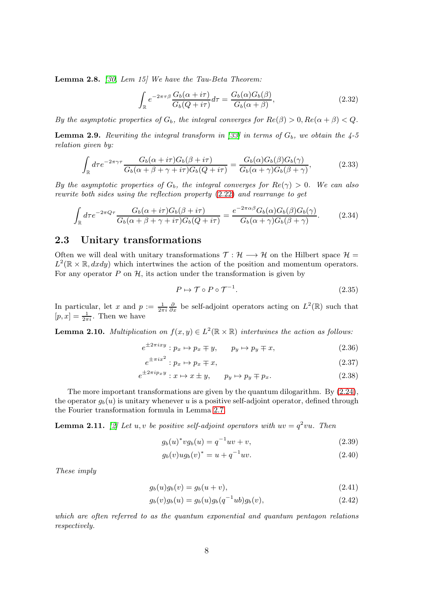<span id="page-7-3"></span>Lemma 2.8. [\[30,](#page-29-1) Lem 15] We have the Tau-Beta Theorem:

$$
\int_{\mathbb{R}} e^{-2\pi\tau\beta} \frac{G_b(\alpha + i\tau)}{G_b(Q + i\tau)} d\tau = \frac{G_b(\alpha)G_b(\beta)}{G_b(\alpha + \beta)},
$$
\n(2.32)

By the asymptotic properties of  $G_b$ , the integral converges for  $Re(\beta) > 0, Re(\alpha + \beta) < Q$ .

<span id="page-7-4"></span>**Lemma 2.9.** Rewriting the integral transform in [\[33\]](#page-30-3) in terms of  $G_b$ , we obtain the 4-5 relation given by:

$$
\int_{\mathbb{R}} d\tau e^{-2\pi\gamma\tau} \frac{G_b(\alpha + i\tau)G_b(\beta + i\tau)}{G_b(\alpha + \beta + \gamma + i\tau)G_b(Q + i\tau)} = \frac{G_b(\alpha)G_b(\beta)G_b(\gamma)}{G_b(\alpha + \gamma)G_b(\beta + \gamma)},
$$
\n(2.33)

By the asymptotic properties of  $G_b$ , the integral converges for  $Re(\gamma) > 0$ . We can also rewrite both sides using the reflection property [\(2.22\)](#page-5-1) and rearrange to get

$$
\int_{\mathbb{R}} d\tau e^{-2\pi Q\tau} \frac{G_b(\alpha + i\tau)G_b(\beta + i\tau)}{G_b(\alpha + \beta + \gamma + i\tau)G_b(Q + i\tau)} = \frac{e^{-2\pi\alpha\beta}G_b(\alpha)G_b(\beta)G_b(\gamma)}{G_b(\alpha + \gamma)G_b(\beta + \gamma)}.
$$
(2.34)

#### <span id="page-7-0"></span>2.3 Unitary transformations

Often we will deal with unitary transformations  $\mathcal{T} : \mathcal{H} \longrightarrow \mathcal{H}$  on the Hilbert space  $\mathcal{H} =$  $L^2(\mathbb{R} \times \mathbb{R}, dxdy)$  which intertwines the action of the position and momentum operators. For any operator  $P$  on  $H$ , its action under the transformation is given by

$$
P \mapsto \mathcal{T} \circ P \circ \mathcal{T}^{-1}.\tag{2.35}
$$

In particular, let x and  $p := \frac{1}{2\pi i} \frac{\partial}{\partial x}$  be self-adjoint operators acting on  $L^2(\mathbb{R})$  such that  $[p, x] = \frac{1}{2\pi i}$ . Then we have

<span id="page-7-1"></span>**Lemma 2.10.** Multiplication on  $f(x, y) \in L^2(\mathbb{R} \times \mathbb{R})$  intertwines the action as follows:

$$
e^{\pm 2\pi i x y} : p_x \mapsto p_x \mp y, \qquad p_y \mapsto p_y \mp x,\tag{2.36}
$$

$$
e^{\pm \pi i x} : p_x \mapsto p_x \mp x,\tag{2.37}
$$

$$
e^{\pm 2\pi i p_x y} : x \mapsto x \pm y, \qquad p_y \mapsto p_y \mp p_x. \tag{2.38}
$$

The more important transformations are given by the quantum dilogarithm. By [\(2.24\)](#page-5-2), the operator  $q_b(u)$  is unitary whenever u is a positive self-adjoint operator, defined through the Fourier transformation formula in Lemma [2.7.](#page-6-2)

<span id="page-7-2"></span>**Lemma 2.11.** [\[2\]](#page-28-3) Let u, v be positive self-adjoint operators with  $uv = q^2vu$ . Then

$$
g_b(u)^* v g_b(u) = q^{-1} u v + v,
$$
\n(2.39)

$$
g_b(v)ug_b(v)^* = u + q^{-1}uv.
$$
\n(2.40)

These imply

$$
g_b(u)g_b(v) = g_b(u+v),
$$
\n(2.41)

$$
g_b(v)g_b(u) = g_b(u)g_b(q^{-1}ub)g_b(v),
$$
\n(2.42)

which are often referred to as the quantum exponential and quantum pentagon relations respectively.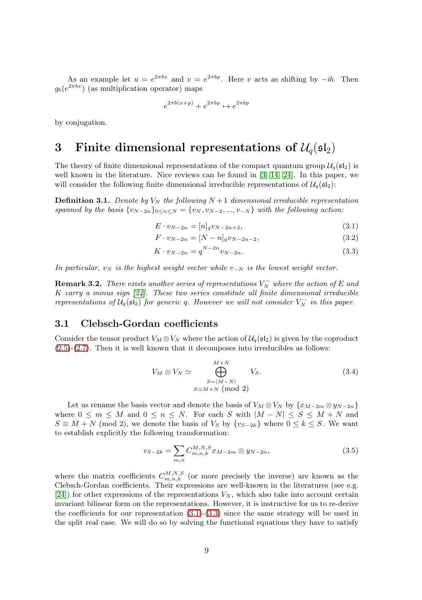As an example let  $u = e^{2\pi bx}$  and  $v = e^{2\pi bp}$ . Here v acts as shifting by  $-ib$ . Then  $g_b(e^{2\pi bx})$  (as multiplication operator) maps

$$
e^{2\pi b(x+p)} + e^{2\pi bp} \mapsto e^{2\pi bp}
$$

<span id="page-8-0"></span>by conjugation.

### 3 Finite dimensional representations of  $\mathcal{U}_q(\mathfrak{sl}_2)$

The theory of finite dimensional representations of the compact quantum group  $\mathcal{U}_q(\mathfrak{sl}_2)$  is well known in the literature. Nice reviews can be found in [\[3,](#page-28-9) [14,](#page-29-13) [24\]](#page-29-9). In this paper, we will consider the following finite dimensional irreducible representations of  $\mathcal{U}_q(\mathfrak{sl}_2)$ :

**Definition 3.1.** Denote by  $V_N$  the following  $N+1$  dimensional irreducible representation spanned by the basis  $\{v_{N-2n}\}_{0\leq n\leq N} = \{v_N, v_{N-2}, ..., v_{-N}\}\$  with the following action:

<span id="page-8-2"></span>
$$
E \cdot v_{N-2n} = [n]_q v_{N-2n+2}, \tag{3.1}
$$

$$
F \cdot v_{N-2n} = [N - n]_q v_{N-2n-2}, \tag{3.2}
$$

<span id="page-8-3"></span>
$$
K \cdot v_{N-2n} = q^{N-2n} v_{N-2n}.
$$
\n(3.3)

In particular,  $v_N$  is the highest weight vector while  $v_{-N}$  is the lowest weight vector.

**Remark 3.2.** There exists another series of representations  $V_N^-$  where the action of E and  $K$  carry a minus sign  $[24]$ . These two series constitute all finite dimensional irreducible representations of  $U_q(\mathfrak{sl}_2)$  for generic q. However we will not consider  $V_N^-$  in this paper.

#### <span id="page-8-1"></span>3.1 Clebsch-Gordan coefficients

Consider the tensor product  $V_M \otimes V_N$  where the action of  $\mathcal{U}_q(\mathfrak{sl}_2)$  is given by the coproduct [\(2.5\)](#page-4-2)-[\(2.7\)](#page-4-3). Then it is well known that it decomposes into irreducibles as follows:

$$
V_M \otimes V_N \simeq \bigoplus_{\substack{S=|M-N|\\S\equiv M+N \pmod{2}}}^{M+N} V_S. \tag{3.4}
$$

Let us rename the basis vector and denote the basis of  $V_M \otimes V_N$  by  $\{x_{M-2m} \otimes y_{N-2n}\}$ where  $0 \leq m \leq M$  and  $0 \leq n \leq N$ . For each S with  $|M - N| \leq S \leq M + N$  and  $S \equiv M + N \pmod{2}$ , we denote the basis of  $V_S$  by  $\{v_{S-2k}\}\$  where  $0 \le k \le S$ . We want to establish explicitly the following transformation:

<span id="page-8-4"></span>
$$
v_{S-2k} = \sum_{m,n} C_{m,n,k}^{M,N,S} x_{M-2m} \otimes y_{N-2n},
$$
\n(3.5)

where the matrix coefficients  $C_{m,n,k}^{M,N,S}$  (or more precisely the inverse) are known as the Clebsch-Gordan coefficients. Their expressions are well-known in the literatures (see e.g.  $[24]$ ) for other expressions of the representations  $V_N$ , which also take into account certain invariant bilinear form on the representations. However, it is instructive for us to re-derive the coefficients for our representation  $(3.1)-(3.3)$  $(3.1)-(3.3)$  since the same strategy will be used in the split real case. We will do so by solving the functional equations they have to satisfy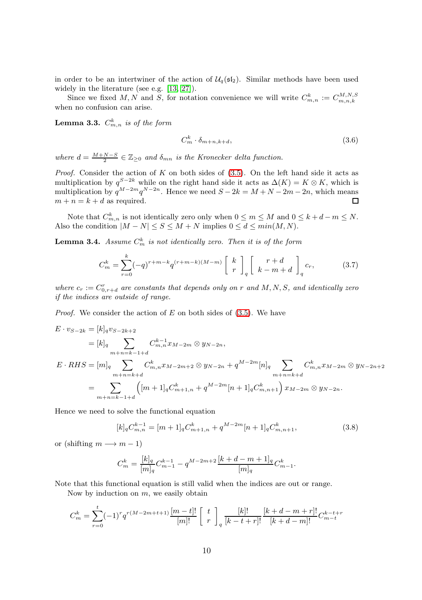in order to be an intertwiner of the action of  $\mathcal{U}_q(\mathfrak{sl}_2)$ . Similar methods have been used widely in the literature (see e.g. [\[13,](#page-29-14) [27\]](#page-29-15)).

Since we fixed M, N and S, for notation convenience we will write  $C_{m,n}^k := C_{m,n,k}^{M,N,S}$ when no confusion can arise.

**Lemma 3.3.**  $C_{m,n}^k$  is of the form

<span id="page-9-1"></span>
$$
C_m^k \cdot \delta_{m+n,k+d},\tag{3.6}
$$

where  $d = \frac{M+N-S}{2} \in \mathbb{Z}_{\geq 0}$  and  $\delta_{mn}$  is the Kronecker delta function.

*Proof.* Consider the action of K on both sides of  $(3.5)$ . On the left hand side it acts as multiplication by  $q^{S-2k}$  while on the right hand side it acts as  $\Delta(K) = K \otimes K$ , which is multiplication by  $q^{M-2m}q^{N-2n}$ . Hence we need  $S-2k = M+N-2m-2n$ , which means  $m + n = k + d$  as required. П

Note that  $C_{m,n}^k$  is not identically zero only when  $0 \leq m \leq M$  and  $0 \leq k+d-m \leq N$ . Also the condition  $|M - N| \leq S \leq M + N$  implies  $0 \leq d \leq min(M, N)$ .

<span id="page-9-2"></span>**Lemma 3.4.** Assume  $C_m^k$  is not identically zero. Then it is of the form

$$
C_m^k = \sum_{r=0}^k (-q)^{r+m-k} q^{(r+m-k)(M-m)} \begin{bmatrix} k \\ r \end{bmatrix}_q \begin{bmatrix} r+d \\ k-m+d \end{bmatrix}_q c_r, \tag{3.7}
$$

where  $c_r := C_{0,r+d}^r$  are constants that depends only on r and M, N, S, and identically zero if the indices are outside of range.

*Proof.* We consider the action of  $E$  on both sides of  $(3.5)$ . We have

$$
E \cdot v_{S-2k} = [k]_q v_{S-2k+2}
$$
  
\n
$$
= [k]_q \sum_{m+n=k-1+d} C^{k-1}_{m,n} x_{M-2m} \otimes y_{N-2n},
$$
  
\n
$$
E \cdot RHS = [m]_q \sum_{m+n=k+d} C^{k}_{m,n} x_{M-2m+2} \otimes y_{N-2n} + q^{M-2m} [n]_q \sum_{m+n=k+d} C^{k}_{m,n} x_{M-2m} \otimes y_{N-2n+2}
$$
  
\n
$$
= \sum_{m+n=k-1+d} ([m+1]_q C^{k}_{m+1,n} + q^{M-2m} [n+1]_q C^{k}_{m,n+1}) x_{M-2m} \otimes y_{N-2n}.
$$

Hence we need to solve the functional equation

$$
[k]_q C_{m,n}^{k-1} = [m+1]_q C_{m+1,n}^k + q^{M-2m} [n+1]_q C_{m,n+1}^k,
$$
\n(3.8)

or (shifting  $m \rightarrow m-1$ )

<span id="page-9-0"></span>
$$
C_m^k = \frac{[k]_q}{[m]_q} C_{m-1}^{k-1} - q^{M-2m+2} \frac{[k+d-m+1]_q}{[m]_q} C_{m-1}^k.
$$

Note that this functional equation is still valid when the indices are out or range.

Now by induction on  $m$ , we easily obtain

$$
C_m^k = \sum_{r=0}^t (-1)^r q^{r(M-2m+t+1)} \frac{[m-t]!}{[m]!} \begin{bmatrix} t \\ r \end{bmatrix}_q \frac{[k]!}{[k-t+r]!} \frac{[k+d-m+r]!}{[k+d-m]!} C_{m-t}^{k-t+r}
$$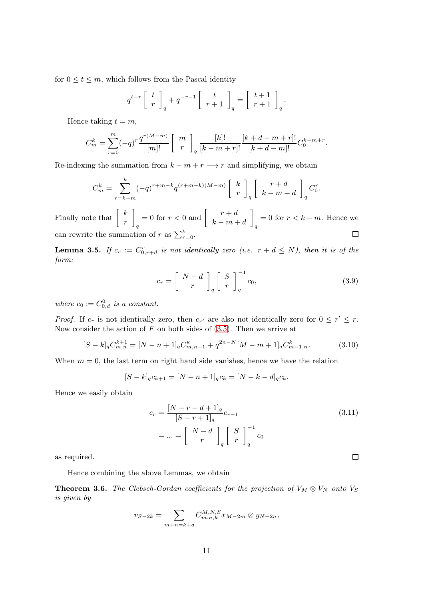for  $0 \le t \le m$ , which follows from the Pascal identity

$$
q^{t-r} \left[ \begin{array}{c} t \\ r \end{array} \right]_q + q^{-r-1} \left[ \begin{array}{c} t \\ r+1 \end{array} \right]_q = \left[ \begin{array}{c} t+1 \\ r+1 \end{array} \right]_q.
$$

Hence taking  $t = m$ ,

$$
C_m^k = \sum_{r=0}^m (-q)^r \frac{q^{r(M-m)}}{[m]!} \begin{bmatrix} m \\ r \end{bmatrix}_q \frac{[k]!}{[k-m+r]!} \frac{[k+d-m+r]!}{[k+d-m]!} C_0^{k-m+r}.
$$

Re-indexing the summation from  $k - m + r \longrightarrow r$  and simplifying, we obtain

$$
C_m^k = \sum_{r=k-m}^k (-q)^{r+m-k} q^{(r+m-k)(M-m)} \begin{bmatrix} k \\ r \end{bmatrix}_q \begin{bmatrix} r+d \\ k-m+d \end{bmatrix}_q C_0^r.
$$

Finally note that  $\begin{bmatrix} k \\ k \end{bmatrix}$ 1  $= 0$  for  $r < 0$  and  $\begin{bmatrix} r + d \\ h & m \end{bmatrix}$ 1  $= 0$  for  $r < k - m$ . Hence we r  $k - m + d$ q q can rewrite the summation of r as  $\sum_{r=0}^{k}$ .  $\Box$ 

**Lemma 3.5.** If  $c_r := C^r_{0,r+d}$  is not identically zero (i.e.  $r + d \leq N$ ), then it is of the form:

$$
c_r = \left[\begin{array}{c} N-d \\ r \end{array}\right]_q \left[\begin{array}{c} S \\ r \end{array}\right]_q^{-1} c_0,\tag{3.9}
$$

where  $c_0 := C_{0,d}^0$  is a constant.

*Proof.* If  $c_r$  is not identically zero, then  $c_{r'}$  are also not identically zero for  $0 \leq r' \leq r$ . Now consider the action of  $F$  on both sides of  $(3.5)$ . Then we arrive at

$$
[S-k]_q C^{k+1}_{m,n} = [N-n+1]_q C^k_{m,n-1} + q^{2n-N} [M-m+1]_q C^k_{m-1,n}.
$$
 (3.10)

When  $m = 0$ , the last term on right hand side vanishes, hence we have the relation

$$
[S-k]_q c_{k+1} = [N-n+1]_q c_k = [N-k-d]_q c_k.
$$

Hence we easily obtain

$$
c_r = \frac{[N-r-d+1]_q}{[S-r+1]_q} c_{r-1}
$$
  
= ... =  $\begin{bmatrix} N-d \\ r \end{bmatrix}_q \begin{bmatrix} S \\ r \end{bmatrix}_q^{-1} c_0$  (3.11)

as required.

Hence combining the above Lemmas, we obtain

<span id="page-10-2"></span>**Theorem 3.6.** The Clebsch-Gordan coefficients for the projection of  $V_M \otimes V_N$  onto  $V_S$ is given by

$$
v_{S-2k} = \sum_{m+n=k+d} C_{m,n,k}^{M,N,S} x_{M-2m} \otimes y_{N-2n},
$$

<span id="page-10-3"></span><span id="page-10-1"></span><span id="page-10-0"></span> $\Box$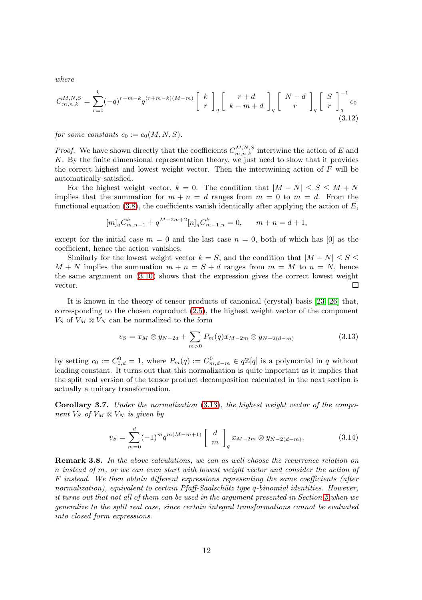where

$$
C_{m,n,k}^{M,N,S} = \sum_{r=0}^{k} (-q)^{r+m-k} q^{(r+m-k)(M-m)} \begin{bmatrix} k \\ r \end{bmatrix}_q \begin{bmatrix} r+d \\ k-m+d \end{bmatrix}_q \begin{bmatrix} N-d \\ r \end{bmatrix}_q \begin{bmatrix} S \\ r \end{bmatrix}_q^{-1} c_0
$$
\n(3.12)

for some constants  $c_0 := c_0(M, N, S)$ .

*Proof.* We have shown directly that the coefficients  $C_{m,n,k}^{M,N,S}$  intertwine the action of E and K. By the finite dimensional representation theory, we just need to show that it provides the correct highest and lowest weight vector. Then the intertwining action of  $F$  will be automatically satisfied.

For the highest weight vector,  $k = 0$ . The condition that  $|M - N| \leq S \leq M + N$ implies that the summation for  $m + n = d$  ranges from  $m = 0$  to  $m = d$ . From the functional equation [\(3.8\)](#page-9-0), the coefficients vanish identically after applying the action of  $E$ ,

$$
[m]_q C_{m,n-1}^k + q^{M-2m+2} [n]_q C_{m-1,n}^k = 0, \qquad m+n = d+1,
$$

except for the initial case  $m = 0$  and the last case  $n = 0$ , both of which has [0] as the coefficient, hence the action vanishes.

Similarly for the lowest weight vector  $k = S$ , and the condition that  $|M - N| \leq S \leq$  $M + N$  implies the summation  $m + n = S + d$  ranges from  $m = M$  to  $n = N$ , hence the same argument on [\(3.10\)](#page-10-0) shows that the expression gives the correct lowest weight vector. Π

It is known in the theory of tensor products of canonical (crystal) basis [\[23,](#page-29-10) [26\]](#page-29-11) that, corresponding to the chosen coproduct [\(2.5\)](#page-4-2), the highest weight vector of the component  $V_S$  of  $V_M \otimes V_N$  can be normalized to the form

<span id="page-11-0"></span>
$$
v_S = x_M \otimes y_{N-2d} + \sum_{m>0} P_m(q)x_{M-2m} \otimes y_{N-2(d-m)}
$$
(3.13)

by setting  $c_0 := C_{0,d}^0 = 1$ , where  $P_m(q) := C_{m,d-m}^0 \in q\mathbb{Z}[q]$  is a polynomial in q without leading constant. It turns out that this normalization is quite important as it implies that the split real version of the tensor product decomposition calculated in the next section is actually a unitary transformation.

Corollary 3.7. Under the normalization  $(3.13)$ , the highest weight vector of the component  $V_S$  of  $V_M \otimes V_N$  is given by

$$
v_S = \sum_{m=0}^{d} (-1)^m q^{m(M-m+1)} \begin{bmatrix} d \\ m \end{bmatrix}_q x_{M-2m} \otimes y_{N-2(d-m)}.
$$
 (3.14)

**Remark 3.8.** In the above calculations, we can as well choose the recurrence relation on n instead of m, or we can even start with lowest weight vector and consider the action of F instead. We then obtain different expressions representing the same coefficients (after normalization), equivalent to certain  $Pf\text{aff-Saalschütz type } q\text{-binomial identities. However,}$ it turns out that not all of them can be used in the argument presented in Section [5](#page-18-0) when we generalize to the split real case, since certain integral transformations cannot be evaluated into closed form expressions.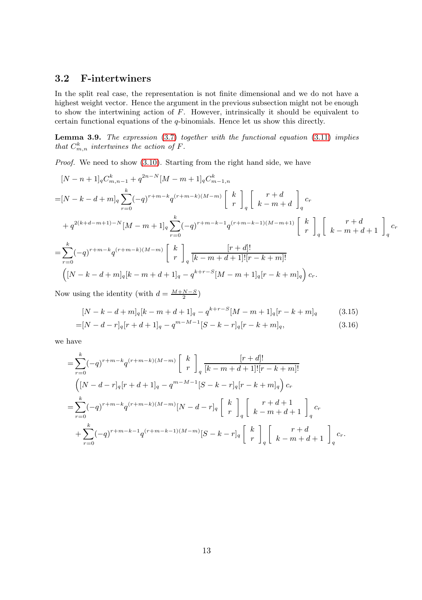#### <span id="page-12-0"></span>3.2 F-intertwiners

In the split real case, the representation is not finite dimensional and we do not have a highest weight vector. Hence the argument in the previous subsection might not be enough to show the intertwining action of  $F$ . However, intrinsically it should be equivalent to certain functional equations of the q-binomials. Hence let us show this directly.

<span id="page-12-1"></span>**Lemma 3.9.** The expression  $(3.7)$  together with the functional equation  $(3.11)$  implies that  $C_{m,n}^k$  intertwines the action of F.

Proof. We need to show [\(3.10\)](#page-10-0). Starting from the right hand side, we have

$$
[N - n + 1]_q C_{m,n-1}^k + q^{2n-N} [M - m + 1]_q C_{m-1,n}^k
$$
  
\n
$$
= [N - k - d + m]_q \sum_{r=0}^k (-q)^{r+m-k} q^{(r+m-k)(M-m)} \begin{bmatrix} k \\ r \end{bmatrix}_q \begin{bmatrix} r+d \\ k-m+d \end{bmatrix}_q c_r
$$
  
\n
$$
+ q^{2(k+d-m+1)-N} [M - m + 1]_q \sum_{r=0}^k (-q)^{r+m-k-1} q^{(r+m-k-1)(M-m+1)} \begin{bmatrix} k \\ r \end{bmatrix}_q \begin{bmatrix} r+d \\ k-m+d+1 \end{bmatrix}_q c_r
$$
  
\n
$$
= \sum_{r=0}^k (-q)^{r+m-k} q^{(r+m-k)(M-m)} \begin{bmatrix} k \\ r \end{bmatrix}_q \frac{[r+d]!}{[k-m+d+1]! [r-k+m]!}
$$
  
\n
$$
([N - k - d + m]_q [k - m + d + 1]_q - q^{k+r-S} [M - m + 1]_q [r - k + m]_q} c_r.
$$

Now using the identity (with  $d = \frac{M+N-S}{2}$ )

$$
[N-k-d+m]_q[k-m+d+1]_q - q^{k+r-S}[M-m+1]_q[r-k+m]_q \qquad (3.15)
$$

$$
=[N-d-r]_q[r+d+1]_q - q^{m-M-1}[S-k-r]_q[r-k+m]_q,
$$
\n(3.16)

we have

$$
= \sum_{r=0}^{k} (-q)^{r+m-k} q^{(r+m-k)(M-m)} \begin{bmatrix} k \\ r \end{bmatrix}_q \frac{[r+d]!}{[k-m+d+1]! [r-k+m]!} \n\left( [N-d-r]_q [r+d+1]_q - q^{m-M-1} [S-k-r]_q [r-k+m]_q \right) c_r \n= \sum_{r=0}^{k} (-q)^{r+m-k} q^{(r+m-k)(M-m)} [N-d-r]_q \begin{bmatrix} k \\ r \end{bmatrix}_q \begin{bmatrix} r+d+1 \\ k-m+d+1 \end{bmatrix}_q c_r \n+ \sum_{r=0}^{k} (-q)^{r+m-k-1} q^{(r+m-k-1)(M-m)} [S-k-r]_q \begin{bmatrix} k \\ r \end{bmatrix}_q \begin{bmatrix} r+d \\ k-m+d+1 \end{bmatrix}_q c_r.
$$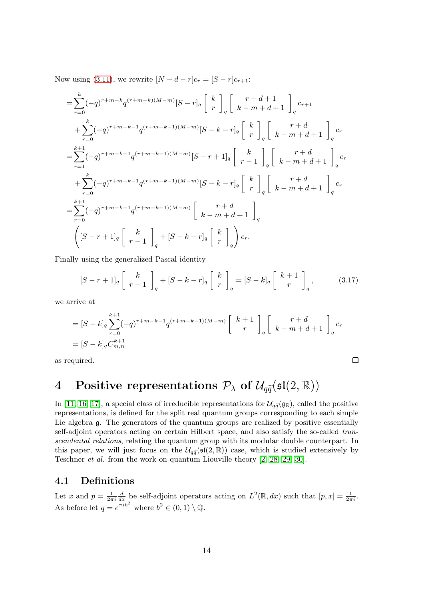Now using [\(3.11\)](#page-10-1), we rewrite  $[N - d - r]c_r = [S - r]c_{r+1}$ :

$$
= \sum_{r=0}^{k} (-q)^{r+m-k} q^{(r+m-k)(M-m)} [S-r]_q \begin{bmatrix} k \\ r \end{bmatrix}_q \begin{bmatrix} r+d+1 \\ k-m+d+1 \end{bmatrix}_q c_{r+1} + \sum_{r=0}^{k} (-q)^{r+m-k-1} q^{(r+m-k-1)(M-m)} [S-k-r]_q \begin{bmatrix} k \\ r \end{bmatrix}_q \begin{bmatrix} r+d \\ k-m+d+1 \end{bmatrix}_q c_r = \sum_{r=1}^{k+1} (-q)^{r+m-k-1} q^{(r+m-k-1)(M-m)} [S-r+1]_q \begin{bmatrix} k \\ r-1 \end{bmatrix}_q \begin{bmatrix} r+d \\ k-m+d+1 \end{bmatrix}_q c_r + \sum_{r=0}^{k} (-q)^{r+m-k-1} q^{(r+m-k-1)(M-m)} [S-k-r]_q \begin{bmatrix} k \\ r \end{bmatrix}_q \begin{bmatrix} r+d \\ k-m+d+1 \end{bmatrix}_q c_r = \sum_{r=0}^{k+1} (-q)^{r+m-k-1} q^{(r+m-k-1)(M-m)} \begin{bmatrix} r+d \\ k-m+d+1 \end{bmatrix}_q c_r \left[ (S-r+1]_q \begin{bmatrix} k \\ r-1 \end{bmatrix}_q + [S-k-r]_q \begin{bmatrix} k \\ r \end{bmatrix}_q \right) c_r.
$$

Finally using the generalized Pascal identity

$$
[S-r+1]_q \left[ \begin{array}{c} k \\ r-1 \end{array} \right]_q + [S-k-r]_q \left[ \begin{array}{c} k \\ r \end{array} \right]_q = [S-k]_q \left[ \begin{array}{c} k+1 \\ r \end{array} \right]_q, \tag{3.17}
$$

 $\Box$ 

we arrive at

$$
= [S-k]_q \sum_{r=0}^{k+1} (-q)^{r+m-k-1} q^{(r+m-k-1)(M-m)} \begin{bmatrix} k+1 \ r \end{bmatrix}_q \begin{bmatrix} r+d \ k-m+d+1 \end{bmatrix}_q c_r
$$
  
= 
$$
[S-k]_q C_{m,n}^{k+1}
$$

as required.

## <span id="page-13-0"></span>4 Positive representations  $P_{\lambda}$  of  $\mathcal{U}_{q\tilde{q}}(\mathfrak{sl}(2,\mathbb{R}))$

In [\[11,](#page-28-0) [16,](#page-29-2) [17\]](#page-29-3), a special class of irreducible representations for  $\mathcal{U}_{q\tilde{q}}(\mathfrak{g}_{\mathbb{R}})$ , called the positive representations, is defined for the split real quantum groups corresponding to each simple Lie algebra g. The generators of the quantum groups are realized by positive essentially self-adjoint operators acting on certain Hilbert space, and also satisfy the so-called transcendental relations, relating the quantum group with its modular double counterpart. In this paper, we will just focus on the  $\mathcal{U}_{q\bar{q}}(\mathfrak{sl}(2,\mathbb{R}))$  case, which is studied extensively by Teschner et al. from the work on quantum Liouville theory [\[2,](#page-28-3) [28,](#page-29-7) [29,](#page-29-0) [30\]](#page-29-1).

#### <span id="page-13-1"></span>4.1 Definitions

Let x and  $p = \frac{1}{2\pi i} \frac{d}{dx}$  be self-adjoint operators acting on  $L^2(\mathbb{R}, dx)$  such that  $[p, x] = \frac{1}{2\pi i}$ . As before let  $q = e^{\pi i b^2}$  where  $b^2 \in (0, 1) \setminus \mathbb{Q}$ .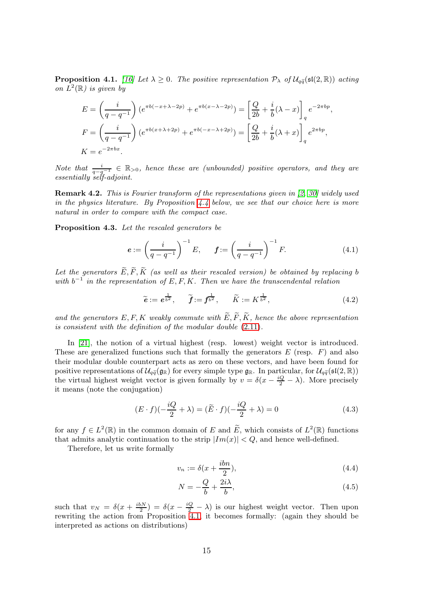<span id="page-14-0"></span>**Proposition 4.1.** [\[16\]](#page-29-2) Let  $\lambda \geq 0$ . The positive representation  $\mathcal{P}_{\lambda}$  of  $\mathcal{U}_{a\tilde{a}}(\mathfrak{sl}(2,\mathbb{R}))$  acting on  $L^2(\mathbb{R})$  is given by

$$
E = \left(\frac{i}{q - q^{-1}}\right) \left(e^{\pi b(-x + \lambda - 2p)} + e^{\pi b(x - \lambda - 2p)}\right) = \left[\frac{Q}{2b} + \frac{i}{b}(\lambda - x)\right]_q e^{-2\pi bp},
$$
  
\n
$$
F = \left(\frac{i}{q - q^{-1}}\right) \left(e^{\pi b(x + \lambda + 2p)} + e^{\pi b(-x - \lambda + 2p)}\right) = \left[\frac{Q}{2b} + \frac{i}{b}(\lambda + x)\right]_q e^{2\pi bp},
$$
  
\n
$$
K = e^{-2\pi bx}.
$$

Note that  $\frac{i}{q-q^{-1}} \in \mathbb{R}_{>0}$ , hence these are (unbounded) positive operators, and they are essentially self-adjoint.

**Remark 4.2.** This is Fourier transform of the representations given in [\[2,](#page-28-3) [30\]](#page-29-1) widely used in the physics literature. By Proposition  $4.4$  below, we see that our choice here is more natural in order to compare with the compact case.

Proposition 4.3. Let the rescaled generators be

$$
e := \left(\frac{i}{q - q^{-1}}\right)^{-1} E, \qquad f := \left(\frac{i}{q - q^{-1}}\right)^{-1} F. \tag{4.1}
$$

Let the generators  $\widetilde{E}, \widetilde{F}, \widetilde{K}$  (as well as their rescaled version) be obtained by replacing b with  $b^{-1}$  in the representation of E, F, K. Then we have the transcendental relation

<span id="page-14-3"></span>
$$
\widetilde{e} := e^{\frac{1}{b^2}}, \quad \widetilde{f} := f^{\frac{1}{b^2}}, \quad \widetilde{K} := K^{\frac{1}{b^2}}, \tag{4.2}
$$

and the generators E, F, K weakly commute with  $\widetilde{E}, \widetilde{F}, \widetilde{K}$ , hence the above representation is consistent with the definition of the modular double [\(2.11\)](#page-4-4).

In [\[21\]](#page-29-8), the notion of a virtual highest (resp. lowest) weight vector is introduced. These are generalized functions such that formally the generators  $E$  (resp.  $F$ ) and also their modular double counterpart acts as zero on these vectors, and have been found for positive representations of  $\mathcal{U}_{q\tilde{q}}(\mathfrak{g}_{\mathbb{R}})$  for every simple type  $\mathfrak{g}_{\mathbb{R}}$ . In particular, for  $\mathcal{U}_{q\tilde{q}}(\mathfrak{sl}(2,\mathbb{R}))$ the virtual highest weight vector is given formally by  $v = \delta(x - \frac{iQ}{2} - \lambda)$ . More precisely it means (note the conjugation)

$$
(E \cdot f)(-\frac{iQ}{2} + \lambda) = (\tilde{E} \cdot f)(-\frac{iQ}{2} + \lambda) = 0
$$
\n(4.3)

for any  $f \in L^2(\mathbb{R})$  in the common domain of E and  $\widetilde{E}$ , which consists of  $L^2(\mathbb{R})$  functions that admits analytic continuation to the strip  $|Im(x)| < Q$ , and hence well-defined.

Therefore, let us write formally

<span id="page-14-1"></span>
$$
v_n := \delta(x + \frac{ibn}{2}),\tag{4.4}
$$

<span id="page-14-2"></span>
$$
N = -\frac{Q}{b} + \frac{2i\lambda}{b},\tag{4.5}
$$

such that  $v_N = \delta(x + \frac{i\delta N}{2}) = \delta(x - \frac{iQ}{2} - \lambda)$  is our highest weight vector. Then upon rewriting the action from Proposition [4.1,](#page-14-0) it becomes formally: (again they should be interpreted as actions on distributions)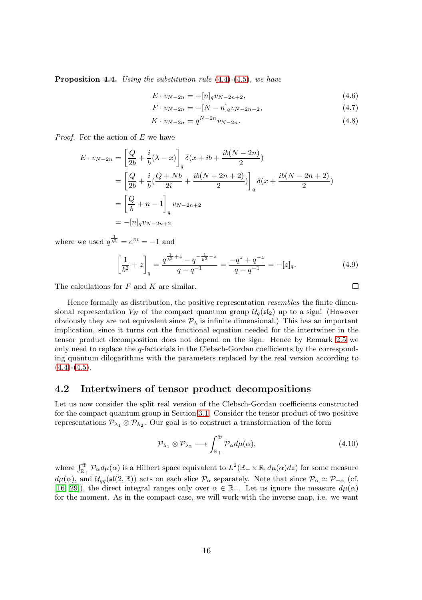<span id="page-15-1"></span>**Proposition 4.4.** Using the substitution rule  $(4.4)$ - $(4.5)$ , we have

$$
E \cdot v_{N-2n} = -[n]_q v_{N-2n+2}, \tag{4.6}
$$

$$
F \cdot v_{N-2n} = -[N-n]_q v_{N-2n-2}, \tag{4.7}
$$

$$
K \cdot v_{N-2n} = q^{N-2n} v_{N-2n}.
$$
\n(4.8)

*Proof.* For the action of  $E$  we have

$$
E \cdot v_{N-2n} = \left[ \frac{Q}{2b} + \frac{i}{b} (\lambda - x) \right]_q \delta(x + ib + \frac{ib(N - 2n)}{2})
$$
  
=  $\left[ \frac{Q}{2b} + \frac{i}{b} (\frac{Q + Nb}{2i} + \frac{ib(N - 2n + 2)}{2}) \right]_q \delta(x + \frac{ib(N - 2n + 2)}{2})$   
=  $\left[ \frac{Q}{b} + n - 1 \right]_q v_{N-2n+2}$   
=  $-[n]_q v_{N-2n+2}$ 

where we used  $q^{\frac{1}{b^2}} = e^{\pi i} = -1$  and

$$
\left[\frac{1}{b^2} + z\right]_q = \frac{q^{\frac{1}{b^2} + z} - q^{-\frac{1}{b^2} - z}}{q - q^{-1}} = \frac{-q^z + q^{-z}}{q - q^{-1}} = -[z]_q.
$$
\n(4.9)

The calculations for  $F$  and  $K$  are similar.

Hence formally as distribution, the positive representation *resembles* the finite dimensional representation  $V_N$  of the compact quantum group  $\mathcal{U}_q(\mathfrak{sl}_2)$  up to a sign! (However obviously they are not equivalent since  $\mathcal{P}_{\lambda}$  is infinite dimensional.) This has an important implication, since it turns out the functional equation needed for the intertwiner in the tensor product decomposition does not depend on the sign. Hence by Remark [2.5](#page-6-3) we only need to replace the  $q$ -factorials in the Clebsch-Gordan coefficients by the corresponding quantum dilogarithms with the parameters replaced by the real version according to  $(4.4)-(4.5)$  $(4.4)-(4.5)$  $(4.4)-(4.5)$ .

#### <span id="page-15-0"></span>4.2 Intertwiners of tensor product decompositions

Let us now consider the split real version of the Clebsch-Gordan coefficients constructed for the compact quantum group in Section [3.1.](#page-8-1) Consider the tensor product of two positive representations  $\mathcal{P}_{\lambda_1} \otimes \mathcal{P}_{\lambda_2}$ . Our goal is to construct a transformation of the form

$$
\mathcal{P}_{\lambda_1} \otimes \mathcal{P}_{\lambda_2} \longrightarrow \int_{\mathbb{R}_+}^{\oplus} \mathcal{P}_{\alpha} d\mu(\alpha), \tag{4.10}
$$

where  $\int_{\mathbb{R}_+}^{\oplus} \mathcal{P}_{\alpha} d\mu(\alpha)$  is a Hilbert space equivalent to  $L^2(\mathbb{R}_+ \times \mathbb{R}, d\mu(\alpha)dz)$  for some measure  $d\mu(\alpha)$ , and  $\mathcal{U}_{q\tilde{q}}(\mathfrak{sl}(2,\mathbb{R}))$  acts on each slice  $\mathcal{P}_{\alpha}$  separately. Note that since  $\mathcal{P}_{\alpha} \simeq \mathcal{P}_{-\alpha}$  (cf. [\[16,](#page-29-2) [29\]](#page-29-0)), the direct integral ranges only over  $\alpha \in \mathbb{R}_+$ . Let us ignore the measure  $d\mu(\alpha)$ for the moment. As in the compact case, we will work with the inverse map, i.e. we want

<span id="page-15-2"></span> $\Box$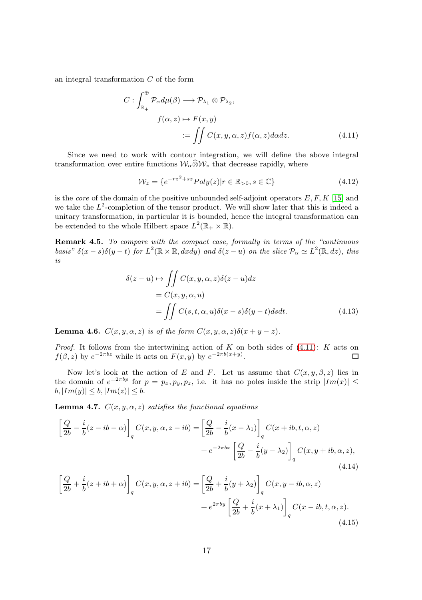an integral transformation C of the form

$$
C: \int_{\mathbb{R}_+}^{\oplus} \mathcal{P}_{\alpha} d\mu(\beta) \longrightarrow \mathcal{P}_{\lambda_1} \otimes \mathcal{P}_{\lambda_2},
$$

$$
f(\alpha, z) \mapsto F(x, y)
$$

$$
:= \iint C(x, y, \alpha, z) f(\alpha, z) d\alpha dz.
$$
(4.11)

Since we need to work with contour integration, we will define the above integral transformation over entire functions  $\mathcal{W}_{\alpha} \widehat{\otimes} \mathcal{W}_{z}$  that decrease rapidly, where

<span id="page-16-0"></span>
$$
\mathcal{W}_z = \{e^{-rz^2 + sz}Poly(z)|r \in \mathbb{R}_{>0}, s \in \mathbb{C}\}\tag{4.12}
$$

is the *core* of the domain of the positive unbounded self-adjoint operators  $E, F, K$  [\[15\]](#page-29-12) and we take the  $L^2$ -completion of the tensor product. We will show later that this is indeed a unitary transformation, in particular it is bounded, hence the integral transformation can be extended to the whole Hilbert space  $L^2(\mathbb{R}_+ \times \mathbb{R})$ .

Remark 4.5. To compare with the compact case, formally in terms of the "continuous" basis"  $\delta(x-s)\delta(y-t)$  for  $L^2(\mathbb{R}\times\mathbb{R},dxdy)$  and  $\delta(z-u)$  on the slice  $\mathcal{P}_{\alpha}\simeq L^2(\mathbb{R},dz)$ , this is

$$
\delta(z - u) \mapsto \iint C(x, y, \alpha, z) \delta(z - u) dz
$$
  
=  $C(x, y, \alpha, u)$   
= 
$$
\iint C(s, t, \alpha, u) \delta(x - s) \delta(y - t) ds dt.
$$
 (4.13)

**Lemma 4.6.**  $C(x, y, \alpha, z)$  is of the form  $C(x, y, \alpha, z)\delta(x + y - z)$ .

*Proof.* It follows from the intertwining action of K on both sides of  $(4.11)$ : K acts on  $f(\beta, z)$  by  $e^{-2\pi bz}$  while it acts on  $F(x, y)$  by  $e^{-2\pi b(x+y)}$ .

Now let's look at the action of E and F. Let us assume that  $C(x, y, \beta, z)$  lies in the domain of  $e^{\pm 2\pi bp}$  for  $p = p_x, p_y, p_z$ , i.e. it has no poles inside the strip  $|Im(x)| \leq$  $|Im(y)| \leq b, |Im(z)| \leq b.$ 

**Lemma 4.7.**  $C(x, y, \alpha, z)$  satisfies the functional equations

$$
\left[\frac{Q}{2b} - \frac{i}{b}(z - ib - \alpha)\right]_q C(x, y, \alpha, z - ib) = \left[\frac{Q}{2b} - \frac{i}{b}(x - \lambda_1)\right]_q C(x + ib, t, \alpha, z)
$$

$$
+ e^{-2\pi bx} \left[\frac{Q}{2b} - \frac{i}{b}(y - \lambda_2)\right]_q C(x, y + ib, \alpha, z), \tag{4.14}
$$

<span id="page-16-2"></span><span id="page-16-1"></span>
$$
\left[\frac{Q}{2b} + \frac{i}{b}(z+ib+\alpha)\right]_q C(x,y,\alpha,z+ib) = \left[\frac{Q}{2b} + \frac{i}{b}(y+\lambda_2)\right]_q C(x,y-ib,\alpha,z)
$$

$$
+ e^{2\pi by} \left[\frac{Q}{2b} + \frac{i}{b}(x+\lambda_1)\right]_q C(x-ib,t,\alpha,z). \tag{4.15}
$$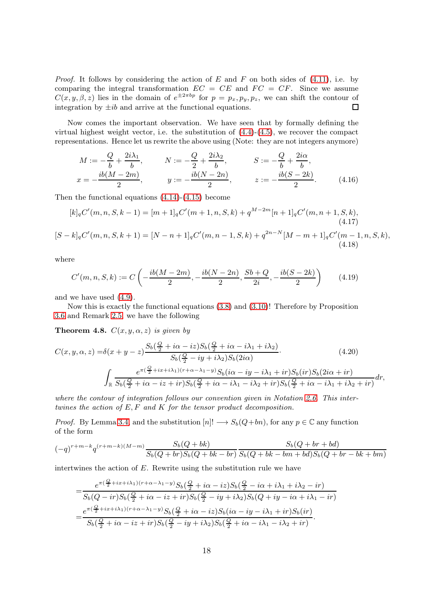*Proof.* It follows by considering the action of E and F on both sides of  $(4.11)$ , i.e. by comparing the integral transformation  $EC = CE$  and  $FC = CF$ . Since we assume  $C(x, y, \beta, z)$  lies in the domain of  $e^{\pm 2\pi b p}$  for  $p = p_x, p_y, p_z$ , we can shift the contour of integration by  $\pm ib$  and arrive at the functional equations.  $\Box$ 

Now comes the important observation. We have seen that by formally defining the virtual highest weight vector, i.e. the substitution of  $(4.4)-(4.5)$  $(4.4)-(4.5)$ , we recover the compact representations. Hence let us rewrite the above using (Note: they are not integers anymore)

$$
M := -\frac{Q}{b} + \frac{2i\lambda_1}{b}, \qquad N := -\frac{Q}{2} + \frac{2i\lambda_2}{b}, \qquad S := -\frac{Q}{b} + \frac{2i\alpha}{b},
$$
  

$$
x = -\frac{ib(M - 2m)}{2}, \qquad y := -\frac{ib(N - 2n)}{2}, \qquad z := -\frac{ib(S - 2k)}{2}.
$$
 (4.16)

Then the functional equations [\(4.14\)](#page-16-1)-[\(4.15\)](#page-16-2) become

$$
[k]_q C'(m, n, S, k-1) = [m+1]_q C'(m+1, n, S, k) + q^{M-2m} [n+1]_q C'(m, n+1, S, k),
$$
  
(4.17)  

$$
[S-k]_q C'(m, n, S, k+1) = [N - n+1]_q C'(m, n-1, S, k) + q^{2n-N} [M - m+1]_q C'(m-1, n, S, k),
$$
  
(4.18)

where

<span id="page-17-1"></span>
$$
C'(m, n, S, k) := C\left(-\frac{ib(M - 2m)}{2}, -\frac{ib(N - 2n)}{2}, \frac{Sb + Q}{2i}, -\frac{ib(S - 2k)}{2}\right) \tag{4.19}
$$

and we have used [\(4.9\)](#page-15-2).

Now this is exactly the functional equations [\(3.8\)](#page-9-0) and [\(3.10\)](#page-10-0)! Therefore by Proposition [3.6](#page-10-2) and Remark [2.5,](#page-6-3) we have the following

<span id="page-17-0"></span>**Theorem 4.8.**  $C(x, y, \alpha, z)$  is given by

$$
C(x, y, \alpha, z) = \delta(x + y - z) \frac{S_b(\frac{Q}{2} + i\alpha - iz)S_b(\frac{Q}{2} + i\alpha - i\lambda_1 + i\lambda_2)}{S_b(\frac{Q}{2} - iy + i\lambda_2)S_b(2i\alpha)}.
$$
(4.20)  

$$
\int_{\mathbb{R}} \frac{e^{\pi(\frac{Q}{2} + ix + i\lambda_1)(r + \alpha - \lambda_1 - y)}S_b(i\alpha - iy - i\lambda_1 + ir)S_b(ir)S_b(2i\alpha + ir)}{S_b(\frac{Q}{2} + i\alpha - iz + ir)S_b(\frac{Q}{2} + i\alpha - i\lambda_1 - i\lambda_2 + ir)S_b(\frac{Q}{2} + i\alpha - i\lambda_1 + i\lambda_2 + ir)} dr,
$$

where the contour of integration follows our convention given in Notation [2.6.](#page-6-4) This intertwines the action of  $E, F$  and  $K$  for the tensor product decomposition.

*Proof.* By Lemma [3.4,](#page-9-2) and the substitution  $[n] \rightarrow S_b(Q+bn)$ , for any  $p \in \mathbb{C}$  any function of the form

$$
(-q)^{r+m-k}q^{(r+m-k)(M-m)}\frac{S_b(Q+bk)}{S_b(Q+br)S_b(Q+bk-br)}\frac{S_b(Q+br+bd)}{S_b(Q+bk-bm+bd)S_b(Q+br-bk+bm)}
$$

intertwines the action of E. Rewrite using the substitution rule we have

$$
=\frac{e^{\pi(\frac{Q}{2}+ix+i\lambda_1)(r+\alpha-\lambda_1-y)}S_b(\frac{Q}{2}+i\alpha-i z)S_b(\frac{Q}{2}-i\alpha+i\lambda_1+i\lambda_2-ir)}{S_b(Q-ir)S_b(\frac{Q}{2}+i\alpha-iz+ir)S_b(\frac{Q}{2}-iy+i\lambda_2)S_b(Q+iy-i\alpha+i\lambda_1-ir)}\\=\frac{e^{\pi(\frac{Q}{2}+ix+i\lambda_1)(r+\alpha-\lambda_1-y)}S_b(\frac{Q}{2}+i\alpha-iz)S_b(i\alpha-iy-i\lambda_1+ir)S_b(ir)}{S_b(\frac{Q}{2}+i\alpha-iz+ir)S_b(\frac{Q}{2}-iy+i\lambda_2)S_b(\frac{Q}{2}+i\alpha-i\lambda_1-i\lambda_2+ir)}.
$$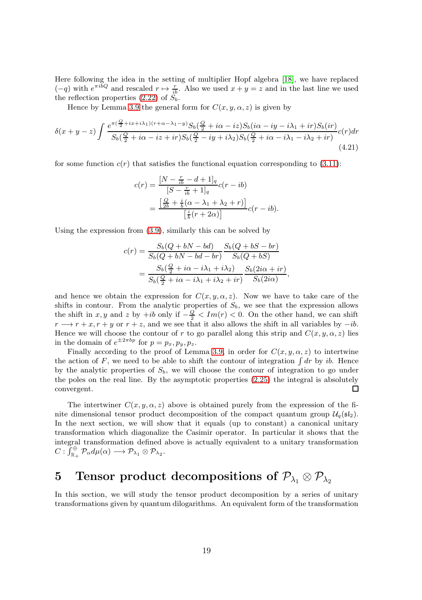Here following the idea in the setting of multiplier Hopf algebra [\[18\]](#page-29-4), we have replaced  $(-q)$  with  $e^{\pi i bQ}$  and rescaled  $r \mapsto \frac{r}{ib}$ . Also we used  $x + y = z$  and in the last line we used the reflection properties [\(2.22\)](#page-5-1) of  $S_b$ .

Hence by Lemma [3.9](#page-12-1) the general form for  $C(x, y, \alpha, z)$  is given by

$$
\delta(x+y-z)\int \frac{e^{\pi(\frac{Q}{2}+ix+i\lambda_1)(r+\alpha-\lambda_1-y)}S_b(\frac{Q}{2}+i\alpha-iz)S_b(i\alpha-iy-i\lambda_1+ir)S_b(ir)}{S_b(\frac{Q}{2}+i\alpha-iz+ir)S_b(\frac{Q}{2}-iy+i\lambda_2)S_b(\frac{Q}{2}+i\alpha-i\lambda_1-i\lambda_2+ir)}c(r)dr
$$
\n(4.21)

for some function  $c(r)$  that satisfies the functional equation corresponding to [\(3.11\)](#page-10-1):

$$
c(r) = \frac{[N - \frac{r}{ib} - d + 1]_q}{[S - \frac{r}{ib} + 1]_q} c(r - ib)
$$
  
= 
$$
\frac{\left[\frac{Q}{2b} + \frac{i}{b}(\alpha - \lambda_1 + \lambda_2 + r)\right]}{\left[\frac{i}{b}(r + 2\alpha)\right]} c(r - ib).
$$

Using the expression from [\(3.9\)](#page-10-3), similarly this can be solved by

$$
c(r) = \frac{S_b(Q+bN-bd)}{S_b(Q+bN-bd-br)} \frac{S_b(Q+bS-br)}{S_b(Q+bS)}
$$

$$
= \frac{S_b(\frac{Q}{2}+i\alpha-i\lambda_1+i\lambda_2)}{S_b(\frac{Q}{2}+i\alpha-i\lambda_1+i\lambda_2+i r)} \frac{S_b(2i\alpha+i r)}{S_b(2i\alpha)}
$$

<span id="page-18-1"></span>,

and hence we obtain the expression for  $C(x, y, \alpha, z)$ . Now we have to take care of the shifts in contour. From the analytic properties of  $S_b$ , we see that the expression allows the shift in x, y and z by +ib only if  $-\frac{Q}{2} < Im(r) < 0$ . On the other hand, we can shift  $r \rightarrow r + x, r + y$  or  $r + z$ , and we see that it also allows the shift in all variables by  $-i\delta$ . Hence we will choose the contour of r to go parallel along this strip and  $C(x, y, \alpha, z)$  lies in the domain of  $e^{\pm 2\pi bp}$  for  $p = p_x, p_y, p_z$ .

Finally according to the proof of Lemma [3.9,](#page-12-1) in order for  $C(x, y, \alpha, z)$  to intertwine the action of F, we need to be able to shift the contour of integration  $\int dr$  by ib. Hence by the analytic properties of  $S_b$ , we will choose the contour of integration to go under the poles on the real line. By the asymptotic properties [\(2.25\)](#page-6-5) the integral is absolutely convergent. □

The intertwiner  $C(x, y, \alpha, z)$  above is obtained purely from the expression of the finite dimensional tensor product decomposition of the compact quantum group  $\mathcal{U}_q(\mathfrak{sl}_2)$ . In the next section, we will show that it equals (up to constant) a canonical unitary transformation which diagonalize the Casimir operator. In particular it shows that the integral transformation defined above is actually equivalent to a unitary transformation  $C: \bar{J}^{\oplus}_{\mathbb{R}_+}$   $\mathcal{P}_{\alpha}d\mu(\alpha) \longrightarrow \mathcal{P}_{\lambda_1} \otimes \mathcal{P}_{\lambda_2}.$ 

### <span id="page-18-0"></span>5 Tensor product decompositions of  $P_{\lambda_1} \otimes P_{\lambda_2}$

In this section, we will study the tensor product decomposition by a series of unitary transformations given by quantum dilogarithms. An equivalent form of the transformation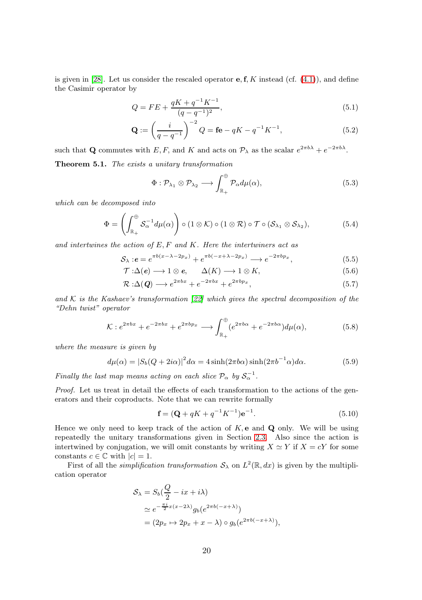is given in [\[28\]](#page-29-7). Let us consider the rescaled operator **e**, **f**, K instead (cf.  $(4.1)$ ), and define the Casimir operator by

$$
Q = FE + \frac{qK + q^{-1}K^{-1}}{(q - q^{-1})^2},\tag{5.1}
$$

$$
\mathbf{Q} := \left(\frac{i}{q - q^{-1}}\right)^{-2} Q = \mathbf{f} \mathbf{e} - qK - q^{-1}K^{-1},\tag{5.2}
$$

<span id="page-19-0"></span>such that Q commutes with E, F, and K and acts on  $\mathcal{P}_{\lambda}$  as the scalar  $e^{2\pi b\lambda} + e^{-2\pi b\lambda}$ . Theorem 5.1. The exists a unitary transformation

<span id="page-19-1"></span>
$$
\Phi: \mathcal{P}_{\lambda_1} \otimes \mathcal{P}_{\lambda_2} \longrightarrow \int_{\mathbb{R}_+}^{\oplus} \mathcal{P}_{\alpha} d\mu(\alpha), \tag{5.3}
$$

which can be decomposed into

$$
\Phi = \left( \int_{\mathbb{R}_+}^{\oplus} \mathcal{S}_{\alpha}^{-1} d\mu(\alpha) \right) \circ (1 \otimes \mathcal{K}) \circ (1 \otimes \mathcal{R}) \circ \mathcal{T} \circ (\mathcal{S}_{\lambda_1} \otimes \mathcal{S}_{\lambda_2}), \tag{5.4}
$$

and intertwines the action of  $E, F$  and  $K$ . Here the intertwiners act as

$$
S_{\lambda}: e = e^{\pi b(x - \lambda - 2p_x)} + e^{\pi b(-x + \lambda - 2p_x)} \longrightarrow e^{-2\pi bp_x},
$$
\n
$$
(5.5)
$$

$$
\mathcal{T} : \Delta(e) \longrightarrow 1 \otimes e, \qquad \Delta(K) \longrightarrow 1 \otimes K, \tag{5.6}
$$

$$
\mathcal{R} : \Delta(Q) \longrightarrow e^{2\pi bx} + e^{-2\pi bx} + e^{2\pi bp_x}, \tag{5.7}
$$

and K is the Kashaev's transformation  $[22]$  which gives the spectral decomposition of the "Dehn twist" operator

$$
\mathcal{K}: e^{2\pi bx} + e^{-2\pi bx} + e^{2\pi bp_x} \longrightarrow \int_{\mathbb{R}_+}^{\oplus} (e^{2\pi b\alpha} + e^{-2\pi b\alpha}) d\mu(\alpha),\tag{5.8}
$$

where the measure is given by

$$
d\mu(\alpha) = |S_b(Q + 2i\alpha)|^2 d\alpha = 4 \sinh(2\pi b\alpha) \sinh(2\pi b^{-1}\alpha) d\alpha.
$$
 (5.9)

Finally the last map means acting on each slice  $\mathcal{P}_{\alpha}$  by  $\mathcal{S}_{\alpha}^{-1}$ .

Proof. Let us treat in detail the effects of each transformation to the actions of the generators and their coproducts. Note that we can rewrite formally

$$
\mathbf{f} = (\mathbf{Q} + qK + q^{-1}K^{-1})\mathbf{e}^{-1}.
$$
 (5.10)

Hence we only need to keep track of the action of  $K$ , e and  $Q$  only. We will be using repeatedly the unitary transformations given in Section [2.3.](#page-7-0) Also since the action is intertwined by conjugation, we will omit constants by writing  $X \simeq Y$  if  $X = cY$  for some constants  $c \in \mathbb{C}$  with  $|c| = 1$ .

First of all the *simplification transformation*  $S_\lambda$  on  $L^2(\mathbb{R}, dx)$  is given by the multiplication operator

$$
\mathcal{S}_{\lambda} = S_b \left( \frac{Q}{2} - ix + i\lambda \right)
$$
  
\n
$$
\simeq e^{-\frac{\pi i}{2}x(x-2\lambda)} g_b(e^{2\pi b(-x+\lambda)})
$$
  
\n
$$
= (2p_x \mapsto 2p_x + x - \lambda) \circ g_b(e^{2\pi b(-x+\lambda)}),
$$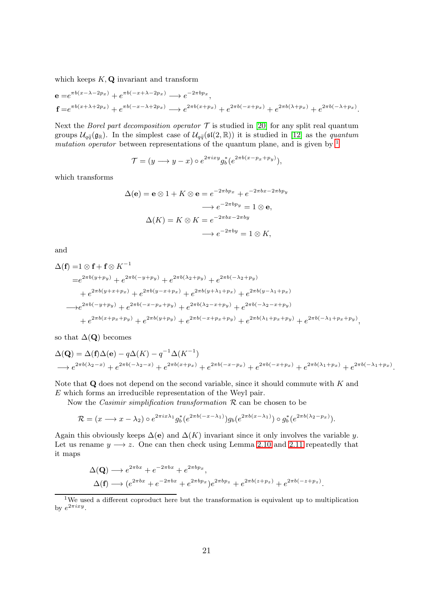which keeps  $K, Q$  invariant and transform

$$
\begin{aligned} \mathbf{e} &= e^{\pi b(x - \lambda - 2p_x)} + e^{\pi b(-x + \lambda - 2p_x)} \longrightarrow e^{-2\pi bp_x}, \\ \mathbf{f} &= e^{\pi b(x + \lambda + 2p_x)} + e^{\pi b(-x - \lambda + 2p_x)} \longrightarrow e^{2\pi b(x + p_x)} + e^{2\pi b(-x + p_x)} + e^{2\pi b(\lambda + p_x)} + e^{2\pi b(-\lambda + p_x)}. \end{aligned}
$$

Next the *Borel part decomposition operator*  $\mathcal T$  is studied in [\[20\]](#page-29-5) for any split real quantum groups  $\mathcal{U}_{q\bar{q}}(\mathfrak{g}_{\mathbb{R}})$ . In the simplest case of  $\mathcal{U}_{q\bar{q}}(\mathfrak{sl}(2,\mathbb{R}))$  it is studied in [\[12\]](#page-29-6) as the *quantum* mutation operator between representations of the quantum plane, and is given by  $<sup>1</sup>$  $<sup>1</sup>$  $<sup>1</sup>$ </sup>

$$
\mathcal{T} = (y \longrightarrow y - x) \circ e^{2\pi i x y} g_b^* (e^{2\pi b (x - p_x + p_y)}),
$$

which transforms

$$
\Delta(\mathbf{e}) = \mathbf{e} \otimes 1 + K \otimes \mathbf{e} = e^{-2\pi b p_x} + e^{-2\pi bx - 2\pi b p_y}
$$

$$
\longrightarrow e^{-2\pi b p_y} = 1 \otimes \mathbf{e},
$$

$$
\Delta(K) = K \otimes K = e^{-2\pi bx - 2\pi by}
$$

$$
\longrightarrow e^{-2\pi by} = 1 \otimes K,
$$

and

$$
\Delta(\mathbf{f}) = 1 \otimes \mathbf{f} + \mathbf{f} \otimes K^{-1}
$$
  
\n
$$
= e^{2\pi b(y + p_y)} + e^{2\pi b(-y + p_y)} + e^{2\pi b(\lambda_2 + p_y)} + e^{2\pi b(-\lambda_2 + p_y)}
$$
  
\n
$$
+ e^{2\pi b(y + x + p_x)} + e^{2\pi b(y - x + p_x)} + e^{2\pi b(y + \lambda_1 + p_x)} + e^{2\pi b(y - \lambda_1 + p_x)}
$$
  
\n
$$
\rightarrow e^{2\pi b(-y + p_y)} + e^{2\pi b(-x - p_x + p_y)} + e^{2\pi b(\lambda_2 - x + p_y)} + e^{2\pi b(-\lambda_2 - x + p_y)}
$$
  
\n
$$
+ e^{2\pi b(x + p_x + p_y)} + e^{2\pi b(y + p_y)} + e^{2\pi b(-x + p_x + p_y)} + e^{2\pi b(\lambda_1 + p_x + p_y)} + e^{2\pi b(-\lambda_1 + p_x + p_y)},
$$

so that  $\Delta(Q)$  becomes

$$
\Delta(Q) = \Delta(f)\Delta(e) - q\Delta(K) - q^{-1}\Delta(K^{-1})
$$
  
\n
$$
\longrightarrow e^{2\pi b(\lambda_2 - x)} + e^{2\pi b(-\lambda_2 - x)} + e^{2\pi b(x + p_x)} + e^{2\pi b(-x - p_x)} + e^{2\pi b(-x + p_x)} + e^{2\pi b(\lambda_1 + p_x)} + e^{2\pi b(-\lambda_1 + p_x)}.
$$

Note that  $\bf{Q}$  does not depend on the second variable, since it should commute with  $K$  and E which forms an irreducible representation of the Weyl pair.

Now the *Casimir simplification transformation*  $R$  can be chosen to be

$$
\mathcal{R} = (x \longrightarrow x - \lambda_2) \circ e^{2\pi i x \lambda_1} g_b^* (e^{2\pi b(-x - \lambda_1)}) g_b (e^{2\pi b(x - \lambda_1)}) \circ g_b^* (e^{2\pi b(\lambda_2 - p_x)}).
$$

Again this obviously keeps  $\Delta$ (e) and  $\Delta$ (K) invariant since it only involves the variable y. Let us rename  $y \rightarrow z$ . One can then check using Lemma [2.10](#page-7-1) and [2.11](#page-7-2) repeatedly that it maps

$$
\Delta(Q) \longrightarrow e^{2\pi bx} + e^{-2\pi bx} + e^{2\pi bp_x},
$$
  
\n
$$
\Delta(f) \longrightarrow (e^{2\pi bx} + e^{-2\pi bx} + e^{2\pi bp_x})e^{2\pi bp_z} + e^{2\pi b(z + p_z)} + e^{2\pi b(-z + p_z)}.
$$

<span id="page-20-0"></span><sup>1</sup>We used a different coproduct here but the transformation is equivalent up to multiplication by  $e^{2\pi ixy}$ .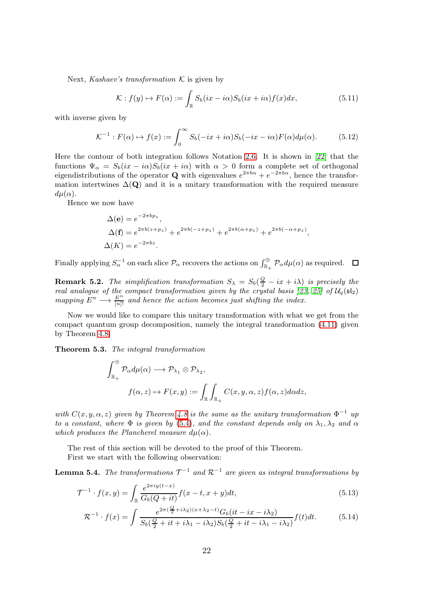Next, Kashaev's transformation  $K$  is given by

<span id="page-21-2"></span>
$$
\mathcal{K}: f(y) \mapsto F(\alpha) := \int_{\mathbb{R}} S_b(ix - i\alpha)S_b(ix + i\alpha)f(x)dx, \tag{5.11}
$$

with inverse given by

$$
\mathcal{K}^{-1}: F(\alpha) \mapsto f(x) := \int_0^\infty S_b(-ix + i\alpha)S_b(-ix - i\alpha)F(\alpha)d\mu(\alpha). \tag{5.12}
$$

Here the contour of both integration follows Notation [2.6.](#page-6-4) It is shown in [\[22\]](#page-29-16) that the functions  $\Psi_{\alpha} = S_b(ix - i\alpha)S_b(ix + i\alpha)$  with  $\alpha > 0$  form a complete set of orthogonal eigendistributions of the operator **Q** with eigenvalues  $e^{2\pi b\alpha} + e^{-2\pi b\alpha}$ , hence the transformation intertwines  $\Delta(Q)$  and it is a unitary transformation with the required measure  $d\mu(\alpha)$ .

Hence we now have

$$
\Delta(\mathbf{e}) = e^{-2\pi b p_z},
$$
  
\n
$$
\Delta(\mathbf{f}) = e^{2\pi b(z + p_z)} + e^{2\pi b(-z + p_z)} + e^{2\pi b(\alpha + p_z)} + e^{2\pi b(-\alpha + p_z)},
$$
  
\n
$$
\Delta(K) = e^{-2\pi bz}.
$$

Finally applying  $S_\alpha^{-1}$  on each slice  $\mathcal{P}_\alpha$  recovers the actions on  $\int_{\mathbb{R}_+}^{\oplus} \mathcal{P}_\alpha d\mu(\alpha)$  as required.  $\Box$ 

**Remark 5.2.** The simplification transformation  $S_{\lambda} = S_b(\frac{Q}{2} - ix + i\lambda)$  is precisely the real analogue of the compact transformation given by the crystal basis [\[23,](#page-29-10) [25\]](#page-29-17) of  $\mathcal{U}_q(\mathfrak{sl}_2)$ mapping  $E^n \longrightarrow \frac{E^n}{[n]!}$  and hence the action becomes just shifting the index.

Now we would like to compare this unitary transformation with what we get from the compact quantum group decomposition, namely the integral transformation [\(4.11\)](#page-16-0) given by Theorem [4.8.](#page-17-0)

<span id="page-21-0"></span>Theorem 5.3. The integral transformation

$$
\int_{\mathbb{R}_+}^{\oplus} \mathcal{P}_{\alpha} d\mu(\alpha) \longrightarrow \mathcal{P}_{\lambda_1} \otimes \mathcal{P}_{\lambda_2},
$$

$$
f(\alpha, z) \mapsto F(x, y) := \int_{\mathbb{R}} \int_{\mathbb{R}_+} C(x, y, \alpha, z) f(\alpha, z) d\alpha dz,
$$

with  $C(x, y, \alpha, z)$  given by Theorem [4.8](#page-17-0) is the same as the unitary transformation  $\Phi^{-1}$  up to a constant, where  $\Phi$  is given by [\(5.4\)](#page-19-1), and the constant depends only on  $\lambda_1, \lambda_2$  and  $\alpha$ which produces the Plancherel measure  $d\mu(\alpha)$ .

The rest of this section will be devoted to the proof of this Theorem.

First we start with the following observation:

<span id="page-21-1"></span>**Lemma 5.4.** The transformations  $\mathcal{T}^{-1}$  and  $\mathcal{R}^{-1}$  are given as integral transformations by

$$
\mathcal{T}^{-1} \cdot f(x,y) = \int_{\mathbb{R}} \frac{e^{2\pi i y(t-x)}}{G_b(Q+it)} f(x-t, x+y) dt,
$$
\n(5.13)

$$
\mathcal{R}^{-1} \cdot f(x) = \int \frac{e^{2\pi(\frac{Q}{2} + i\lambda_2)(x + \lambda_2 - t)} G_b(it - ix - i\lambda_2)}{S_b(\frac{Q}{2} + it + i\lambda_1 - i\lambda_2)S_b(\frac{Q}{2} + it - i\lambda_1 - i\lambda_2)} f(t)dt.
$$
 (5.14)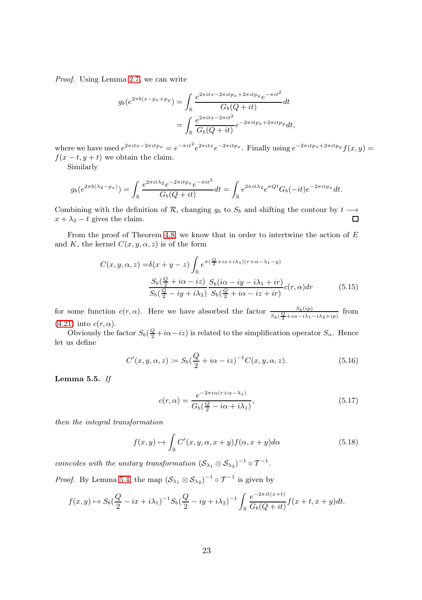Proof. Using Lemma [2.7,](#page-6-2) we can write

$$
g_b(e^{2\pi b(x-p_x+p_y)}) = \int_{\mathbb{R}} \frac{e^{2\pi itx - 2\pi itp_y}e^{-\pi it^2}}{G_b(Q+it)} dt
$$
  
= 
$$
\int_{\mathbb{R}} \frac{e^{2\pi itx - 2\pi it^2}}{G_b(Q+it)} e^{-2\pi itp_x + 2\pi itp_y} dt,
$$

where we have used  $e^{2\pi itx-2\pi itp_x} = e^{-\pi it^2}e^{2\pi itx}e^{-2\pi itp_x}$ . Finally using  $e^{-2\pi itp_x+2\pi itp_y}f(x,y) =$  $f(x - t, y + t)$  we obtain the claim.

Similarly

$$
g_b(e^{2\pi b(\lambda_2 - p_x)}) = \int_{\mathbb{R}} \frac{e^{2\pi i t \lambda_2} e^{-2\pi i t p_x} e^{-\pi i t^2}}{G_b(Q + it)} dt = \int_{\mathbb{R}} e^{2\pi i t \lambda_2} e^{\pi Q t} G_b(-it) e^{-2\pi i t p_x} dt.
$$

Combining with the definition of R, changing  $g_b$  to  $S_b$  and shifting the contour by  $t \rightarrow$  $x + \lambda_2 - t$  gives the claim.  $\Box$ 

From the proof of Theorem [4.8,](#page-17-0) we know that in order to intertwine the action of  $E$ and K, the kernel  $C(x, y, \alpha, z)$  is of the form

$$
C(x, y, \alpha, z) = \delta(x + y - z) \int_{\mathbb{R}} e^{\pi(\frac{Q}{2} + ix + i\lambda_1)(r + \alpha - \lambda_1 - y)}
$$

$$
\frac{S_b(\frac{Q}{2} + i\alpha - iz)}{S_b(\frac{Q}{2} - iy + i\lambda_2)} \frac{S_b(i\alpha - iy - i\lambda_1 + ir)}{S_b(\frac{Q}{2} + i\alpha - iz + ir)} c(r, \alpha) dr \tag{5.15}
$$

for some function  $c(r, \alpha)$ . Here we have absorbed the factor  $\frac{S_b(ip)}{S_b(\frac{Q}{2}+i\alpha-i\lambda_1-i\lambda_2+i p)}$  from  $(4.21)$  into  $c(r, \alpha)$ .

Obviously the factor  $S_b(\frac{Q}{2}+i\alpha - i z)$  is related to the simplification operator  $S_\alpha$ . Hence let us define

$$
C'(x, y, \alpha, z) := S_b(\frac{Q}{2} + i\alpha - iz)^{-1} C(x, y, \alpha, z).
$$
 (5.16)

<span id="page-22-2"></span>Lemma 5.5.  $If$ 

<span id="page-22-1"></span><span id="page-22-0"></span>
$$
c(r,\alpha) = \frac{e^{-2\pi i \alpha (r+\alpha-\lambda_1)}}{G_b(\frac{Q}{2} - i\alpha + i\lambda_1)},
$$
\n(5.17)

then the integral transformation

$$
f(x,y) \mapsto \int_{\mathbb{R}} C'(x,y,\alpha,x+y) f(\alpha,x+y) d\alpha \tag{5.18}
$$

coincides with the unitary transformation  $(S_{\lambda_1} \otimes S_{\lambda_2})^{-1} \circ \mathcal{T}^{-1}$ .

*Proof.* By Lemma [5.4,](#page-21-1) the map  $(S_{\lambda_1} \otimes S_{\lambda_2})^{-1} \circ \mathcal{T}^{-1}$  is given by

$$
f(x,y) \mapsto S_b(\frac{Q}{2} - ix + i\lambda_1)^{-1} S_b(\frac{Q}{2} - iy + i\lambda_2)^{-1} \int_{\mathbb{R}} \frac{e^{-2\pi it(x+t)}}{G_b(Q+it)} f(x+t, x+y) dt.
$$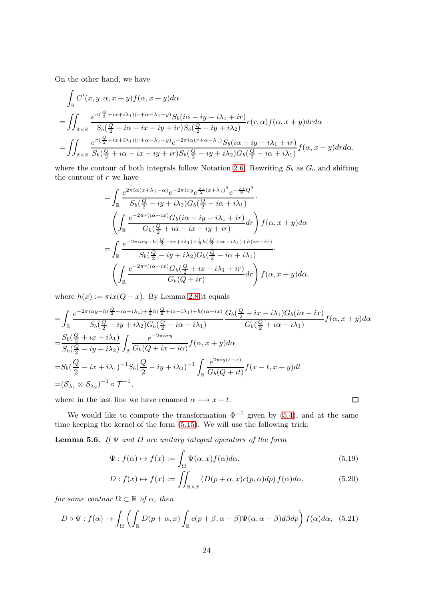On the other hand, we have

$$
\int_{\mathbb{R}} C'(x, y, \alpha, x + y) f(\alpha, x + y) d\alpha
$$
\n
$$
= \iint_{\mathbb{R} \times \mathbb{R}} \frac{e^{\pi (\frac{Q}{2} + ix + i\lambda_1)(r + \alpha - \lambda_1 - y)} S_b(i\alpha - iy - i\lambda_1 + ir)}{S_b(\frac{Q}{2} + i\alpha - ix - iy + ir) S_b(\frac{Q}{2} - iy + i\lambda_2)} c(r, \alpha) f(\alpha, x + y) dr d\alpha
$$
\n
$$
= \iint_{\mathbb{R} \times \mathbb{R}} \frac{e^{\pi (\frac{Q}{2} + ix + i\lambda_1)(r + \alpha - \lambda_1 - y)} e^{-2\pi i\alpha (r + \alpha - \lambda_1)} S_b(i\alpha - iy - i\lambda_1 + ir)}{S_b(\frac{Q}{2} + i\alpha - ix - iy + ir) S_b(\frac{Q}{2} - iy + i\lambda_2) G_b(\frac{Q}{2} - i\alpha + i\lambda_1)} f(\alpha, x + y) dr d\alpha,
$$

where the contour of both integrals follow Notation [2.6.](#page-6-4) Rewriting  $S_b$  as  $G_b$  and shifting the contour of  $r$  we have

$$
= \int_{\mathbb{R}} \frac{e^{2\pi i \alpha (x + \lambda_1 - \alpha)} e^{-2\pi i x y} e^{\frac{\pi i}{2} (x + \lambda_1)^2} e^{-\frac{\pi i}{8} Q^2}}{S_b(\frac{Q}{2} - iy + i\lambda_2) G_b(\frac{Q}{2} - i\alpha + i\lambda_1)} \n\left( \int_{\mathbb{R}} \frac{e^{-2\pi r (i\alpha - ix)} G_b(i\alpha - iy - i\lambda_1 + ir)}{G_b(\frac{Q}{2} + i\alpha - ix - iy + ir)} dr \right) f(\alpha, x + y) d\alpha \n= \int_{\mathbb{R}} \frac{e^{-2\pi i \alpha y - h(\frac{Q}{2} - i\alpha + i\lambda_1) + \frac{1}{2} h(\frac{Q}{2} + ix - i\lambda_1) + h(i\alpha - ix)}}{S_b(\frac{Q}{2} - iy + i\lambda_2) G_b(\frac{Q}{2} - i\alpha + i\lambda_1)} \n\left( \int_{\mathbb{R}} \frac{e^{-2\pi r (i\alpha - ix)} G_b(\frac{Q}{2} + ix - i\lambda_1 + ir)}{G_b(Q + ir)} dr \right) f(\alpha, x + y) d\alpha,
$$

where  $h(x) := \pi i x (Q - x)$ . By Lemma [2.8](#page-7-3) it equals

$$
\begin{split}\n&= \int_{\mathbb{R}} \frac{e^{-2\pi i \alpha y - h\left(\frac{Q}{2} - i\alpha + i\lambda_{1}\right) + \frac{1}{2}h\left(\frac{Q}{2} + i x - i\lambda_{1}\right) + h\left(i\alpha - i x\right)}}{S_{b}\left(\frac{Q}{2} - i y + i\lambda_{2}\right)G_{b}\left(\frac{Q}{2} - i\alpha + i\lambda_{1}\right)} \frac{G_{b}\left(\frac{Q}{2} + i x - i\lambda_{1}\right)G_{b}\left(i\alpha - i x\right)}{G_{b}\left(\frac{Q}{2} + i\alpha - i\lambda_{1}\right)} f(\alpha, x + y) d\alpha \\
&= \frac{S_{b}\left(\frac{Q}{2} + i x - i\lambda_{1}\right)}{S_{b}\left(\frac{Q}{2} - i y + i\lambda_{2}\right)} \int_{\mathbb{R}} \frac{e^{-2\pi i \alpha y}}{G_{b}\left(Q + i x - i\alpha\right)} f(\alpha, x + y) d\alpha \\
&= S_{b}\left(\frac{Q}{2} - i x + i\lambda_{1}\right)^{-1} S_{b}\left(\frac{Q}{2} - i y + i\lambda_{2}\right)^{-1} \int_{\mathbb{R}} \frac{e^{2\pi i y(t - x)}}{G_{b}\left(Q + i t\right)} f(x - t, x + y) dt \\
&= (S_{\lambda_{1}} \otimes S_{\lambda_{2}})^{-1} \circ \mathcal{T}^{-1},\n\end{split}
$$

where in the last line we have renamed  $\alpha \longrightarrow x - t$ .

We would like to compute the transformation  $\Phi^{-1}$  given by [\(5.4\)](#page-19-1), and at the same time keeping the kernel of the form [\(5.15\)](#page-22-0). We will use the following trick:

**Lemma 5.6.** If  $\Psi$  and  $D$  are unitary integral operators of the form

$$
\Psi: f(\alpha) \mapsto f(x) := \int_{\Omega} \Psi(\alpha, x) f(\alpha) d\alpha,
$$
\n(5.19)

 $\Box$ 

$$
D: f(x) \mapsto f(x) := \iint_{\mathbb{R} \times \mathbb{R}} \left( D(p + \alpha, x)c(p, \alpha) dp \right) f(\alpha) d\alpha, \tag{5.20}
$$

for some contour  $\Omega \subset \mathbb{R}$  of  $\alpha$ , then

$$
D \circ \Psi : f(\alpha) \mapsto \int_{\Omega} \left( \int_{\mathbb{R}} D(p + \alpha, x) \int_{\mathbb{R}} c(p + \beta, \alpha - \beta) \Psi(\alpha, \alpha - \beta) d\beta dp \right) f(\alpha) d\alpha, \quad (5.21)
$$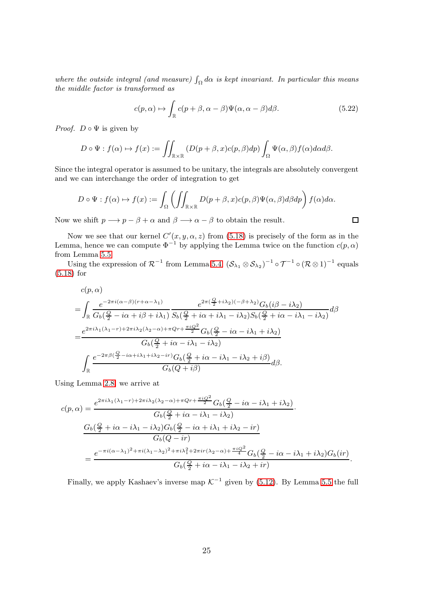where the outside integral (and measure)  $\int_{\Omega} d\alpha$  is kept invariant. In particular this means the middle factor is transformed as

$$
c(p,\alpha) \mapsto \int_{\mathbb{R}} c(p+\beta,\alpha-\beta)\Psi(\alpha,\alpha-\beta)d\beta.
$$
 (5.22)

 $\Box$ 

*Proof.*  $D \circ \Psi$  is given by

$$
D \circ \Psi : f(\alpha) \mapsto f(x) := \iint_{\mathbb{R} \times \mathbb{R}} \left( D(p + \beta, x)c(p, \beta) dp \right) \int_{\Omega} \Psi(\alpha, \beta) f(\alpha) d\alpha d\beta.
$$

Since the integral operator is assumed to be unitary, the integrals are absolutely convergent and we can interchange the order of integration to get

$$
D \circ \Psi : f(\alpha) \mapsto f(x) := \int_{\Omega} \left( \iint_{\mathbb{R} \times \mathbb{R}} D(p + \beta, x) c(p, \beta) \Psi(\alpha, \beta) d\beta dp \right) f(\alpha) d\alpha.
$$

Now we shift  $p \longrightarrow p - \beta + \alpha$  and  $\beta \longrightarrow \alpha - \beta$  to obtain the result.

Now we see that our kernel  $C'(x, y, \alpha, z)$  from [\(5.18\)](#page-22-1) is precisely of the form as in the Lemma, hence we can compute  $\Phi^{-1}$  by applying the Lemma twice on the function  $c(p, \alpha)$ from Lemma [5.5.](#page-22-2)

Using the expression of  $\mathcal{R}^{-1}$  from Lemma [5.4,](#page-21-1)  $(\mathcal{S}_{\lambda_1} \otimes \mathcal{S}_{\lambda_2})^{-1} \circ \mathcal{T}^{-1} \circ (\mathcal{R} \otimes 1)^{-1}$  equals [\(5.18\)](#page-22-1) for

$$
c(p, \alpha)
$$
\n
$$
= \int_{\mathbb{R}} \frac{e^{-2\pi i (\alpha - \beta)(r + \alpha - \lambda_1)}}{G_b(\frac{Q}{2} - i\alpha + i\beta + i\lambda_1)} \frac{e^{2\pi (\frac{Q}{2} + i\lambda_2)(-\beta + \lambda_2)} G_b(i\beta - i\lambda_2)}{S_b(\frac{Q}{2} + i\alpha + i\lambda_1 - i\lambda_2)S_b(\frac{Q}{2} + i\alpha - i\lambda_1 - i\lambda_2)} d\beta
$$
\n
$$
= \frac{e^{2\pi i \lambda_1 (\lambda_1 - r) + 2\pi i\lambda_2 (\lambda_2 - \alpha) + \pi Qr + \frac{\pi i Q^2}{2}} G_b(\frac{Q}{2} - i\alpha - i\lambda_1 + i\lambda_2)}{G_b(\frac{Q}{2} + i\alpha - i\lambda_1 - i\lambda_2)}
$$
\n
$$
\int_{\mathbb{R}} \frac{e^{-2\pi \beta (\frac{Q}{2} - i\alpha + i\lambda_1 + i\lambda_2 - ir)} G_b(\frac{Q}{2} + i\alpha - i\lambda_1 - i\lambda_2 + i\beta)}{G_b(Q + i\beta)} d\beta.
$$

Using Lemma [2.8,](#page-7-3) we arrive at

$$
c(p,\alpha) = \frac{e^{2\pi i \lambda_1 (\lambda_1 - r) + 2\pi i \lambda_2 (\lambda_2 - \alpha) + \pi Qr + \frac{\pi i Q^2}{2}} G_b(\frac{Q}{2} - i\alpha - i\lambda_1 + i\lambda_2)}{G_b(\frac{Q}{2} + i\alpha - i\lambda_1 - i\lambda_2)}.
$$
  

$$
\frac{G_b(\frac{Q}{2} + i\alpha - i\lambda_1 - i\lambda_2)G_b(\frac{Q}{2} - i\alpha + i\lambda_1 + i\lambda_2 - ir)}{G_b(Q - ir)}
$$
  

$$
= \frac{e^{-\pi i (\alpha - \lambda_1)^2 + \pi i (\lambda_1 - \lambda_2)^2 + \pi i \lambda_1^2 + 2\pi ir(\lambda_2 - \alpha) + \frac{\pi i Q^2}{4}} G_b(\frac{Q}{2} - i\alpha - i\lambda_1 + i\lambda_2)G_b(ir)}{G_b(\frac{Q}{2} + i\alpha - i\lambda_1 - i\lambda_2 + ir)}.
$$

Finally, we apply Kashaev's inverse map  $K^{-1}$  given by [\(5.12\)](#page-21-2). By Lemma [5.5](#page-22-2) the full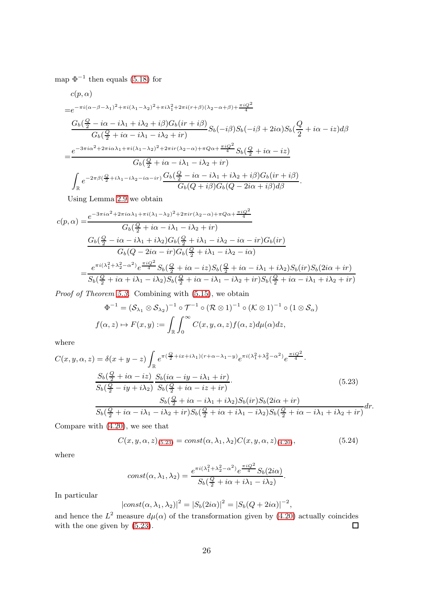map  $\Phi^{-1}$  then equals [\(5.18\)](#page-22-1) for

$$
c(p, \alpha)
$$
\n
$$
=e^{-\pi i(\alpha-\beta-\lambda_1)^2+\pi i(\lambda_1-\lambda_2)^2+\pi i\lambda_1^2+2\pi i(r+\beta)(\lambda_2-\alpha+\beta)+\frac{\pi i Q^2}{4}}
$$
\n
$$
\frac{G_b(\frac{Q}{2}-i\alpha-i\lambda_1+i\lambda_2+i\beta)G_b(ir+i\beta)}{G_b(\frac{Q}{2}+i\alpha-i\lambda_1-i\lambda_2+ir)}S_b(-i\beta)S_b(-i\beta+2i\alpha)S_b(\frac{Q}{2}+i\alpha-i z)d\beta
$$
\n
$$
=\frac{e^{-3\pi i\alpha^2+2\pi i\alpha\lambda_1+\pi i(\lambda_1-\lambda_2)^2+2\pi ir(\lambda_2-\alpha)+\pi Q\alpha+\frac{\pi i Q^2}{4}}S_b(\frac{Q}{2}+i\alpha-i z)}{G_b(\frac{Q}{2}+i\alpha-i\lambda_1-i\lambda_2+ir)}
$$
\n
$$
\int_{\mathbb{R}}e^{-2\pi\beta(\frac{Q}{2}+i\lambda_1-i\lambda_2-i\alpha-ir)}\frac{G_b(\frac{Q}{2}-i\alpha-i\lambda_1+i\lambda_2+i\beta)G_b(ir+i\beta)}{G_b(Q+i\beta)G_b(Q-2i\alpha+i\beta)d\beta}.
$$

Using Lemma [2.9](#page-7-4) we obtain

$$
c(p, \alpha) = \frac{e^{-3\pi i \alpha^2 + 2\pi i \alpha \lambda_1 + \pi i (\lambda_1 - \lambda_2)^2 + 2\pi i r (\lambda_2 - \alpha) + \pi Q \alpha + \frac{\pi i Q^2}{4}}}{G_b(\frac{Q}{2} + i\alpha - i\lambda_1 - i\lambda_2 + ir)}
$$

$$
\frac{G_b(\frac{Q}{2} - i\alpha - i\lambda_1 + i\lambda_2)G_b(\frac{Q}{2} + i\lambda_1 - i\lambda_2 - i\alpha - ir)G_b(ir)}{G_b(Q - 2i\alpha - ir)G_b(\frac{Q}{2} + i\lambda_1 - i\lambda_2 - i\alpha)}
$$

$$
= \frac{e^{\pi i (\lambda_1^2 + \lambda_2^2 - \alpha^2)} e^{\frac{\pi i Q^2}{4}} S_b(\frac{Q}{2} + i\alpha - iz)S_b(\frac{Q}{2} + i\alpha - i\lambda_1 + i\lambda_2)S_b(ir)S_b(2i\alpha + ir)}{S_b(\frac{Q}{2} + i\alpha + i\lambda_1 - i\lambda_2)S_b(\frac{Q}{2} + i\alpha - i\lambda_1 - i\lambda_2 + ir)S_b(\frac{Q}{2} + i\alpha - i\lambda_1 + i\lambda_2 + ir)}
$$

Proof of Theorem [5.3.](#page-21-0) Combining with [\(5.15\)](#page-22-0), we obtain

$$
\Phi^{-1} = (\mathcal{S}_{\lambda_1} \otimes \mathcal{S}_{\lambda_2})^{-1} \circ \mathcal{T}^{-1} \circ (\mathcal{R} \otimes 1)^{-1} \circ (\mathcal{K} \otimes 1)^{-1} \circ (1 \otimes \mathcal{S}_{\alpha})
$$
  

$$
f(\alpha, z) \mapsto F(x, y) := \int_{\mathbb{R}} \int_0^{\infty} C(x, y, \alpha, z) f(\alpha, z) d\mu(\alpha) dz,
$$

where

$$
C(x, y, \alpha, z) = \delta(x + y - z) \int_{\mathbb{R}} e^{\pi(\frac{Q}{2} + ix + i\lambda_1)(r + \alpha - \lambda_1 - y)} e^{\pi i(\lambda_1^2 + \lambda_2^2 - \alpha^2)} e^{\frac{\pi i Q^2}{4}}.
$$
  

$$
\frac{S_b(\frac{Q}{2} + i\alpha - iz)}{S_b(\frac{Q}{2} - iy + i\lambda_2)} \frac{S_b(i\alpha - iy - i\lambda_1 + ir)}{S_b(\frac{Q}{2} + i\alpha - iz + ir)}.
$$
  

$$
\frac{S_b(\frac{Q}{2} + i\alpha - i\lambda_1 + i\lambda_2)S_b(ir)S_b(2i\alpha + ir)}{S_b(\frac{Q}{2} + i\alpha - i\lambda_1 - i\lambda_2 + ir)S_b(\frac{Q}{2} + i\alpha + i\lambda_1 - i\lambda_2)S_b(\frac{Q}{2} + i\alpha - i\lambda_1 + i\lambda_2 + ir)} dr.
$$
  
(5.23)

Compare with [\(4.20\)](#page-17-1), we see that

<span id="page-25-0"></span>
$$
C(x, y, \alpha, z)_{(5.23)} = const(\alpha, \lambda_1, \lambda_2) C(x, y, \alpha, z)_{(4.20)},
$$
\n(5.24)

where

$$
const(\alpha,\lambda_1,\lambda_2)=\frac{e^{\pi i(\lambda_1^2+\lambda_2^2-\alpha^2)}e^{\frac{\pi i Q^2}{4}}S_b(2i\alpha)}{S_b(\frac{Q}{2}+i\alpha+i\lambda_1-i\lambda_2)}.
$$

In particular

$$
|const(\alpha,\lambda_1,\lambda_2)|^2 = |S_b(2i\alpha)|^2 = |S_b(Q+2i\alpha)|^{-2},
$$

and hence the  $L^2$  measure  $d\mu(\alpha)$  of the transformation given by [\(4.20\)](#page-17-1) actually coincides with the one given by [\(5.23\)](#page-25-0).  $\Box$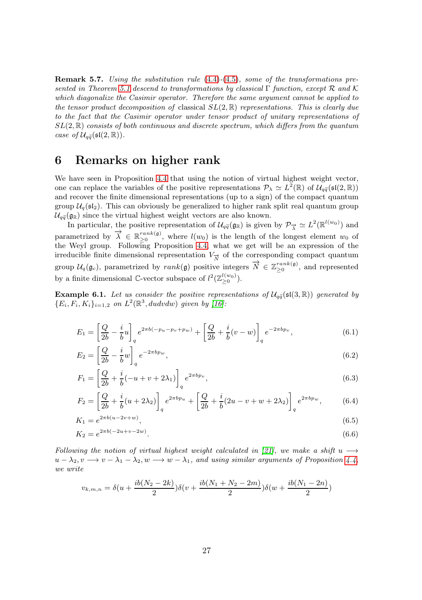**Remark 5.7.** Using the substitution rule  $(4.4)-(4.5)$  $(4.4)-(4.5)$  $(4.4)-(4.5)$ , some of the transformations pre-sented in Theorem [5.1](#page-19-0) descend to transformations by classical Γ function, except R and K which diagonalize the Casimir operator. Therefore the same argument cannot be applied to the tensor product decomposition of classical  $SL(2,\mathbb{R})$  representations. This is clearly due to the fact that the Casimir operator under tensor product of unitary representations of  $SL(2,\mathbb{R})$  consists of both continuous and discrete spectrum, which differs from the quantum case of  $\mathcal{U}_{q\tilde{q}}(\mathfrak{sl}(2,\mathbb{R}))$ .

#### <span id="page-26-0"></span>6 Remarks on higher rank

We have seen in Proposition [4.4](#page-15-1) that using the notion of virtual highest weight vector, one can replace the variables of the positive representations  $\mathcal{P}_\lambda \simeq L^2(\mathbb{R})$  of  $\mathcal{U}_{q\tilde{q}}(\mathfrak{sl}(2,\mathbb{R}))$ and recover the finite dimensional representations (up to a sign) of the compact quantum group  $\mathcal{U}_q(\mathfrak{sl}_2)$ . This can obviously be generalized to higher rank split real quantum group  $\mathcal{U}_{q\tilde{q}}(g_{\mathbb{R}})$  since the virtual highest weight vectors are also known.

In particular, the positive representation of  $\mathcal{U}_{q\bar{q}}(\mathfrak{g}_{\mathbb{R}})$  is given by  $\mathcal{P}_{\vec{\lambda}} \simeq L^2(\mathbb{R}^{l(w_0)})$  and parametrized by  $\overrightarrow{\lambda} \in \mathbb{R}_{\geq 0}^{rank(\mathfrak{g})}$ , where  $l(w_0)$  is the length of the longest element  $w_0$  of the Weyl group. Following Proposition [4.4,](#page-15-1) what we get will be an expression of the irreducible finite dimensional representation  $V_{\overrightarrow{N}}$  of the corresponding compact quantum group  $\mathcal{U}_q(\mathfrak{g}_c)$ , parametrized by  $rank(\mathfrak{g})$  positive integers  $\overrightarrow{N} \in \mathbb{Z}_{\geq 0}^{rank(\mathfrak{g})}$ , and represented by a finite dimensional  $\mathbb{C}$ -vector subspace of  $l^2(\mathbb{Z}_{\geq 0}^{l(w_0)})$ .

**Example 6.1.** Let us consider the positive representations of  $\mathcal{U}_{q\tilde{q}}(\mathfrak{sl}(3,\mathbb{R}))$  generated by  ${E_i, F_i, K_i}_{i=1,2}$  on  $L^2(\mathbb{R}^3, dudvdw)$  given by [\[16\]](#page-29-2):

$$
E_1 = \left[\frac{Q}{2b} - \frac{i}{b}u\right]_q e^{2\pi b(-p_u - p_v + p_w)} + \left[\frac{Q}{2b} + \frac{i}{b}(v - w)\right]_q e^{-2\pi bp_v},\tag{6.1}
$$

$$
E_2 = \left[\frac{Q}{2b} - \frac{i}{b}w\right]_q e^{-2\pi b p_w},\tag{6.2}
$$

$$
F_1 = \left[\frac{Q}{2b} + \frac{i}{b}(-u+v+2\lambda_1)\right]_q e^{2\pi b p_v},\tag{6.3}
$$

$$
F_2 = \left[\frac{Q}{2b} + \frac{i}{b}(u + 2\lambda_2)\right]_q e^{2\pi b p_u} + \left[\frac{Q}{2b} + \frac{i}{b}(2u - v + w + 2\lambda_2)\right]_q e^{2\pi b p_w},\tag{6.4}
$$

$$
K_1 = e^{2\pi b(u - 2v + w)},\tag{6.5}
$$

$$
K_2 = e^{2\pi b(-2u+v-2w)}.
$$
\n(6.6)

Following the notion of virtual highest weight calculated in [\[21\]](#page-29-8), we make a shift  $u \rightarrow$  $u - \lambda_2, v \longrightarrow v - \lambda_1 - \lambda_2, w \longrightarrow w - \lambda_1$ , and using similar arguments of Proposition [4.4,](#page-15-1) we write

$$
v_{k,m,n} = \delta(u + \frac{ib(N_2 - 2k)}{2})\delta(v + \frac{ib(N_1 + N_2 - 2m)}{2})\delta(w + \frac{ib(N_1 - 2n)}{2})
$$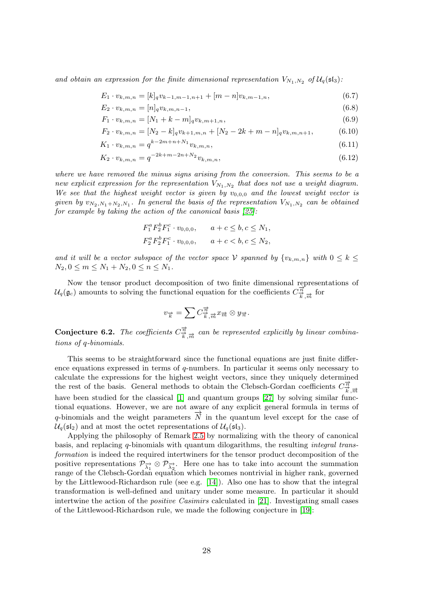and obtain an expression for the finite dimensional representation  $V_{N_1,N_2}$  of  $\mathcal{U}_q(\mathfrak{sl}_3)$ :

$$
E_1 \cdot v_{k,m,n} = [k]_q v_{k-1,m-1,n+1} + [m-n]v_{k,m-1,n}, \tag{6.7}
$$

$$
E_2 \cdot v_{k,m,n} = [n]_q v_{k,m,n-1},\tag{6.8}
$$

$$
F_1 \cdot v_{k,m,n} = [N_1 + k - m]_q v_{k,m+1,n}, \tag{6.9}
$$

$$
F_2 \cdot v_{k,m,n} = [N_2 - k]_q v_{k+1,m,n} + [N_2 - 2k + m - n]_q v_{k,m,n+1},
$$
\n(6.10)

$$
K_1 \cdot v_{k,m,n} = q^{k-2m+n+N_1} v_{k,m,n}, \tag{6.11}
$$

$$
K_2 \cdot v_{k,m,n} = q^{-2k+m-2n+N_2} v_{k,m,n}, \tag{6.12}
$$

where we have removed the minus signs arising from the conversion. This seems to be a new explicit expression for the representation  $V_{N_1,N_2}$  that does not use a weight diagram. We see that the highest weight vector is given by  $v_{0,0,0}$  and the lowest weight vector is given by  $v_{N_2,N_1+N_2,N_1}$ . In general the basis of the representation  $V_{N_1,N_2}$  can be obtained for example by taking the action of the canonical basis  $[25]$ :

$$
F_1^a F_2^b F_1^c \cdot v_{0,0,0}, \qquad a+c \le b, c \le N_1,
$$
  

$$
F_2^a F_2^b F_1^c \cdot v_{0,0,0}, \qquad a+c < b, c \le N_2,
$$

and it will be a vector subspace of the vector space V spanned by  $\{v_{k,m,n}\}\$  with  $0 \leq k \leq$  $N_2, 0 \le m \le N_1 + N_2, 0 \le n \le N_1$ .

Now the tensor product decomposition of two finite dimensional representations of  $U_q(\mathfrak{g}_c)$  amounts to solving the functional equation for the coefficients  $C^{\overrightarrow{n}}_{\overrightarrow{k},\overrightarrow{m}}$  for

$$
v_{\overrightarrow{k}} = \sum C^{\overrightarrow{n}}_{\overrightarrow{k},\overrightarrow{m}} x_{\overrightarrow{m}} \otimes y_{\overrightarrow{n}}.
$$

**Conjecture 6.2.** The coefficients  $C^{\vec{\pi}}_{\vec{k},\vec{m}}$  can be represented explicitly by linear combinations of q-binomials.

This seems to be straightforward since the functional equations are just finite difference equations expressed in terms of q-numbers. In particular it seems only necessary to calculate the expressions for the highest weight vectors, since they uniquely determined the rest of the basis. General methods to obtain the Clebsch-Gordan coefficients  $C^{\vec{n}}_{\vec{k},\vec{m}}$ have been studied for the classical [\[1\]](#page-28-10) and quantum groups [\[27\]](#page-29-15) by solving similar functional equations. However, we are not aware of any explicit general formula in terms of q-binomials and the weight parameters  $\vec{N}$  in the quantum level except for the case of  $U_q(\mathfrak{sl}_2)$  and at most the octet representations of  $U_q(\mathfrak{sl}_3)$ .

Applying the philosophy of Remark [2.5](#page-6-3) by normalizing with the theory of canonical basis, and replacing q-binomials with quantum dilogarithms, the resulting integral transformation is indeed the required intertwiners for the tensor product decomposition of the positive representations  $\mathcal{P}_{\overrightarrow{\lambda_1}} \otimes \mathcal{P}_{\overrightarrow{\lambda_2}}$ . Here one has to take into account the summation range of the Clebsch-Gordan equation which becomes nontrivial in higher rank, governed by the Littlewood-Richardson rule (see e.g. [\[14\]](#page-29-13)). Also one has to show that the integral transformation is well-defined and unitary under some measure. In particular it should intertwine the action of the *positive Casimirs* calculated in [\[21\]](#page-29-8). Investigating small cases of the Littlewood-Richardson rule, we made the following conjecture in [\[19\]](#page-29-18):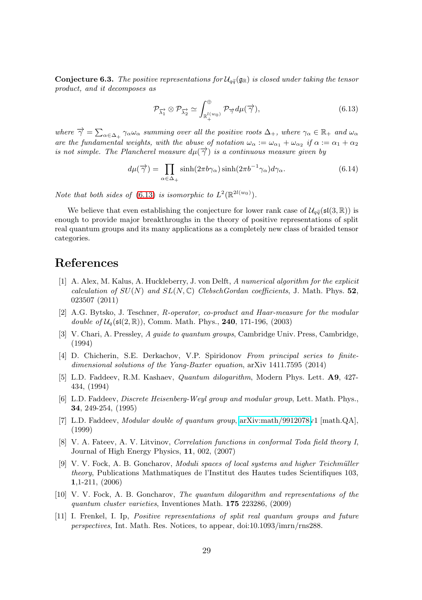**Conjecture 6.3.** The positive representations for  $\mathcal{U}_{q\tilde{q}}(\mathfrak{g}_{\mathbb{R}})$  is closed under taking the tensor product, and it decomposes as

<span id="page-28-11"></span>
$$
\mathcal{P}_{\overrightarrow{\lambda_1}} \otimes \mathcal{P}_{\overrightarrow{\lambda_2}} \simeq \int_{\mathbb{R}_+^{l(w_0)}}^{\oplus} \mathcal{P}_{\overrightarrow{\gamma}} d\mu(\overrightarrow{\gamma}), \tag{6.13}
$$

where  $\overrightarrow{\gamma} = \sum_{\alpha \in \Delta_+} \gamma_{\alpha} \omega_{\alpha}$  summing over all the positive roots  $\Delta_+$ , where  $\gamma_{\alpha} \in \mathbb{R}_+$  and  $\omega_{\alpha}$ are the fundamental weights, with the abuse of notation  $\omega_{\alpha} := \omega_{\alpha_1} + \omega_{\alpha_2}$  if  $\alpha := \alpha_1 + \alpha_2$ is not simple. The Plancherel measure  $d\mu(\vec{\gamma})$  is a continuous measure given by

$$
d\mu(\overrightarrow{\gamma}) = \prod_{\alpha \in \Delta_+} \sinh(2\pi b \gamma_\alpha) \sinh(2\pi b^{-1} \gamma_\alpha) d\gamma_\alpha.
$$
 (6.14)

Note that both sides of [\(6.13\)](#page-28-11) is isomorphic to  $L^2(\mathbb{R}^{2l(w_0)})$ .

We believe that even establishing the conjecture for lower rank case of  $\mathcal{U}_{q\tilde{q}}(\mathfrak{sl}(3,\mathbb{R}))$  is enough to provide major breakthroughs in the theory of positive representations of split real quantum groups and its many applications as a completely new class of braided tensor categories.

### <span id="page-28-10"></span>References

- [1] A. Alex, M. Kalus, A. Huckleberry, J. von Delft, A numerical algorithm for the explicit calculation of  $SU(N)$  and  $SL(N, \mathbb{C})$  ClebschGordan coefficients, J. Math. Phys. 52, 023507 (2011)
- <span id="page-28-3"></span>[2] A.G. Bytsko, J. Teschner, R-operator, co-product and Haar-measure for the modular double of  $\mathcal{U}_q(\mathfrak{sl}(2,\mathbb{R}))$ , Comm. Math. Phys., **240**, 171-196, (2003)
- <span id="page-28-9"></span>[3] V. Chari, A. Pressley, A quide to quantum groups, Cambridge Univ. Press, Cambridge, (1994)
- <span id="page-28-8"></span>[4] D. Chicherin, S.E. Derkachov, V.P. Spiridonov From principal series to finitedimensional solutions of the Yang-Baxter equation, arXiv 1411.7595 (2014)
- <span id="page-28-7"></span>[5] L.D. Faddeev, R.M. Kashaev, Quantum dilogarithm, Modern Phys. Lett. A9, 427- 434, (1994)
- <span id="page-28-1"></span>[6] L.D. Faddeev, Discrete Heisenberg-Weyl group and modular group, Lett. Math. Phys., 34, 249-254, (1995)
- <span id="page-28-2"></span>[7] L.D. Faddeev, Modular double of quantum group, [arXiv:math/9912078v](http://arxiv.org/abs/math/9912078)1 [math.QA], (1999)
- <span id="page-28-6"></span>[8] V. A. Fateev, A. V. Litvinov, Correlation functions in conformal Toda field theory I, Journal of High Energy Physics, 11, 002, (2007)
- <span id="page-28-4"></span>[9] V. V. Fock, A. B. Goncharov, Moduli spaces of local systems and higher Teichmüller theory, Publications Mathmatiques de l'Institut des Hautes tudes Scientifiques 103, 1,1-211, (2006)
- <span id="page-28-5"></span>[10] V. V. Fock, A. B. Goncharov, The quantum dilogarithm and representations of the quantum cluster varieties, Inventiones Math. 175 223286, (2009)
- <span id="page-28-0"></span>[11] I. Frenkel, I. Ip, Positive representations of split real quantum groups and future perspectives, Int. Math. Res. Notices, to appear, doi:10.1093/imrn/rns288.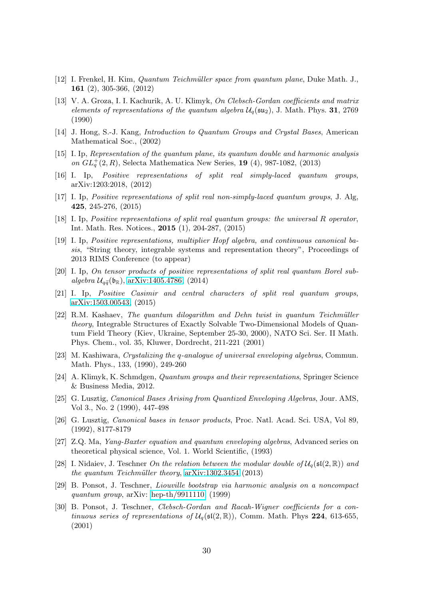- <span id="page-29-14"></span><span id="page-29-6"></span>[12] I. Frenkel, H. Kim, Quantum Teichm¨uller space from quantum plane, Duke Math. J., 161 (2), 305-366, (2012)
- [13] V. A. Groza, I. I. Kachurik, A. U. Klimyk, On Clebsch-Gordan coefficients and matrix elements of representations of the quantum algebra  $\mathcal{U}_q(\mathfrak{su}_2)$ , J. Math. Phys. 31, 2769 (1990)
- <span id="page-29-13"></span><span id="page-29-12"></span>[14] J. Hong, S.-J. Kang, Introduction to Quantum Groups and Crystal Bases, American Mathematical Soc., (2002)
- [15] I. Ip, Representation of the quantum plane, its quantum double and harmonic analysis on  $GL_q^+(2, R)$ , Selecta Mathematica New Series, 19 (4), 987-1082, (2013)
- <span id="page-29-2"></span>[16] I. Ip, Positive representations of split real simply-laced quantum groups, arXiv:1203:2018, (2012)
- <span id="page-29-4"></span><span id="page-29-3"></span>[17] I. Ip, Positive representations of split real non-simply-laced quantum groups, J. Alg, 425, 245-276, (2015)
- <span id="page-29-18"></span>[18] I. Ip, Positive representations of split real quantum groups: the universal R operator, Int. Math. Res. Notices., 2015 (1), 204-287, (2015)
- [19] I. Ip, Positive representations, multiplier Hopf algebra, and continuous canonical basis, "String theory, integrable systems and representation theory", Proceedings of 2013 RIMS Conference (to appear)
- <span id="page-29-5"></span>[20] I. Ip, On tensor products of positive representations of split real quantum Borel subalgebra  $\mathcal{U}_{q\tilde{q}}(\mathfrak{b}_{\mathbb{R}})$ , [arXiv:1405.4786,](http://arxiv.org/abs/1405.4786) (2014)
- <span id="page-29-8"></span>[21] I. Ip, Positive Casimir and central characters of split real quantum groups, [arXiv:1503.00543,](http://arxiv.org/abs/1503.00543) (2015)
- <span id="page-29-16"></span> $[22]$  R.M. Kashaev, The quantum dilogarithm and Dehn twist in quantum Teichmüller theory, Integrable Structures of Exactly Solvable Two-Dimensional Models of Quantum Field Theory (Kiev, Ukraine, September 25-30, 2000), NATO Sci. Ser. II Math. Phys. Chem., vol. 35, Kluwer, Dordrecht, 211-221 (2001)
- <span id="page-29-10"></span>[23] M. Kashiwara, Crystalizing the q-analogue of universal enveloping algebras, Commun. Math. Phys., 133, (1990), 249-260
- <span id="page-29-9"></span>[24] A. Klimyk, K. Schmdgen, Quantum groups and their representations, Springer Science & Business Media, 2012.
- <span id="page-29-17"></span>[25] G. Lusztig, Canonical Bases Arising from Quantized Enveloping Algebras, Jour. AMS, Vol 3., No. 2 (1990), 447-498
- <span id="page-29-11"></span>[26] G. Lusztig, Canonical bases in tensor products, Proc. Natl. Acad. Sci. USA, Vol 89, (1992), 8177-8179
- <span id="page-29-15"></span>[27] Z.Q. Ma, Yang-Baxter equation and quantum enveloping algebras, Advanced series on theoretical physical science, Vol. 1. World Scientific, (1993)
- <span id="page-29-7"></span>[28] I. Nidaiev, J. Teschner On the relation between the modular double of  $\mathcal{U}_q(\mathfrak{sl}(2,\mathbb{R}))$  and the quantum Teichmüller theory,  $arXiv:1302.3454$  (2013)
- <span id="page-29-0"></span>[29] B. Ponsot, J. Teschner, Liouville bootstrap via harmonic analysis on a noncompact quantum group, arXiv: [hep-th/9911110,](http://arxiv.org/abs/hep-th/9911110) (1999)
- <span id="page-29-1"></span>[30] B. Ponsot, J. Teschner, Clebsch-Gordan and Racah-Wigner coefficients for a continuous series of representations of  $\mathcal{U}_q(\mathfrak{sl}(2,\mathbb{R}))$ , Comm. Math. Phys 224, 613-655, (2001)